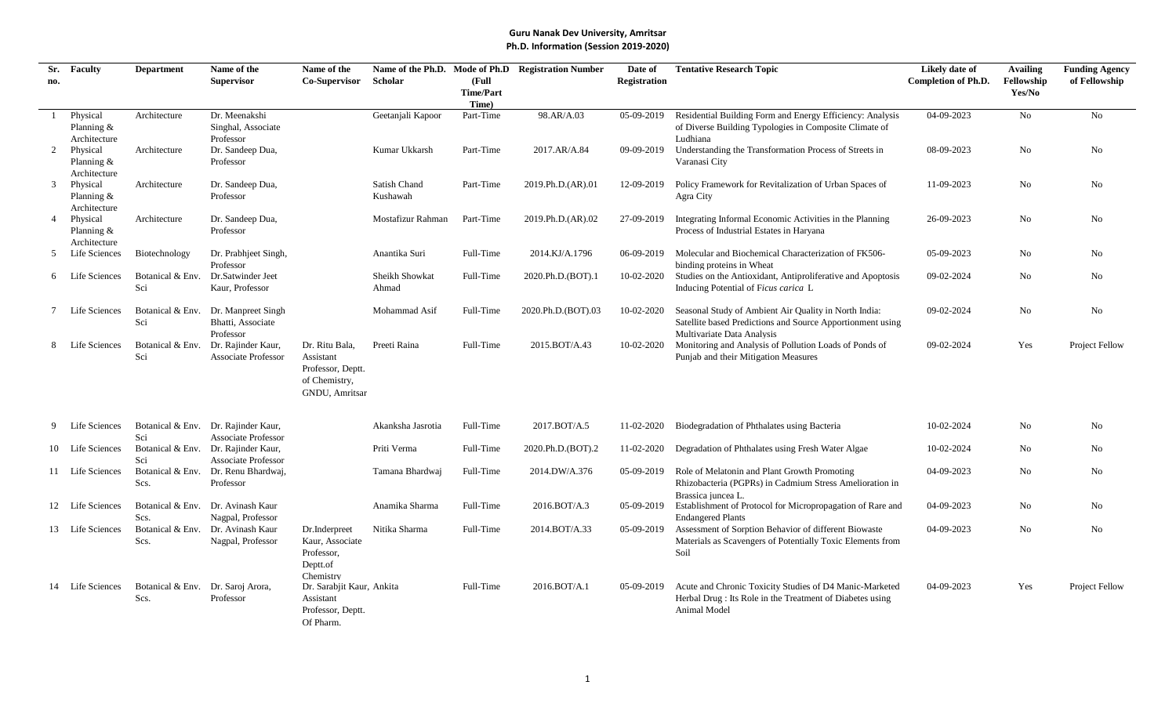| Sr. | <b>Faculty</b>           | <b>Department</b>                 | Name of the                         | Name of the                            |                     |                  | Name of the Ph.D. Mode of Ph.D Registration Number | Date of             | <b>Tentative Research Topic</b>                                    | Likely date of             | <b>Availing</b> | <b>Funding Agency</b> |
|-----|--------------------------|-----------------------------------|-------------------------------------|----------------------------------------|---------------------|------------------|----------------------------------------------------|---------------------|--------------------------------------------------------------------|----------------------------|-----------------|-----------------------|
| no. |                          |                                   | <b>Supervisor</b>                   | <b>Co-Supervisor</b>                   | Scholar             | (Full            |                                                    | <b>Registration</b> |                                                                    | <b>Completion of Ph.D.</b> | Fellowship      | of Fellowship         |
|     |                          |                                   |                                     |                                        |                     | <b>Time/Part</b> |                                                    |                     |                                                                    |                            | Yes/No          |                       |
|     |                          |                                   |                                     |                                        |                     | Time)            |                                                    |                     |                                                                    |                            |                 |                       |
|     | Physical                 | Architecture                      | Dr. Meenakshi                       |                                        | Geetanjali Kapoor   | Part-Time        | 98.AR/A.03                                         | 05-09-2019          | Residential Building Form and Energy Efficiency: Analysis          | 04-09-2023                 | $\rm No$        | No                    |
|     | Planning &               |                                   | Singhal, Associate                  |                                        |                     |                  |                                                    |                     | of Diverse Building Typologies in Composite Climate of             |                            |                 |                       |
| 2   | Architecture<br>Physical | Architecture                      | Professor<br>Dr. Sandeep Dua,       |                                        | Kumar Ukkarsh       | Part-Time        | 2017.AR/A.84                                       | 09-09-2019          | Ludhiana<br>Understanding the Transformation Process of Streets in | 08-09-2023                 | No              | No                    |
|     | Planning $&$             |                                   | Professor                           |                                        |                     |                  |                                                    |                     | Varanasi City                                                      |                            |                 |                       |
|     | Architecture             |                                   |                                     |                                        |                     |                  |                                                    |                     |                                                                    |                            |                 |                       |
| 3   | Physical                 | Architecture                      | Dr. Sandeep Dua,                    |                                        | <b>Satish Chand</b> | Part-Time        | 2019.Ph.D.(AR).01                                  | 12-09-2019          | Policy Framework for Revitalization of Urban Spaces of             | 11-09-2023                 | No              | No                    |
|     | Planning $&$             |                                   | Professor                           |                                        | Kushawah            |                  |                                                    |                     | Agra City                                                          |                            |                 |                       |
|     | Architecture             |                                   |                                     |                                        |                     |                  |                                                    |                     |                                                                    |                            |                 |                       |
|     | Physical                 | Architecture                      | Dr. Sandeep Dua,                    |                                        | Mostafizur Rahman   | Part-Time        | 2019.Ph.D.(AR).02                                  | 27-09-2019          | Integrating Informal Economic Activities in the Planning           | 26-09-2023                 | No              | No                    |
|     | Planning $&$             |                                   | Professor                           |                                        |                     |                  |                                                    |                     | Process of Industrial Estates in Haryana                           |                            |                 |                       |
|     | Architecture             |                                   |                                     |                                        |                     |                  |                                                    |                     |                                                                    |                            |                 |                       |
|     | Life Sciences            | Biotechnology                     | Dr. Prabhjeet Singh,                |                                        | Anantika Suri       | Full-Time        | 2014.KJ/A.1796                                     |                     | 06-09-2019 Molecular and Biochemical Characterization of FK506-    | 05-09-2023                 | No              | N <sub>o</sub>        |
|     |                          |                                   | Professor                           |                                        |                     |                  |                                                    |                     | binding proteins in Wheat                                          |                            |                 |                       |
|     | 6 Life Sciences          | Botanical & Env.                  | Dr.Satwinder Jeet                   |                                        | Sheikh Showkat      | Full-Time        | 2020.Ph.D.(BOT).1                                  | 10-02-2020          | Studies on the Antioxidant, Antiproliferative and Apoptosis        | 09-02-2024                 | No              | No                    |
|     |                          | Sci                               | Kaur, Professor                     |                                        | Ahmad               |                  |                                                    |                     | Inducing Potential of Ficus carica L                               |                            |                 |                       |
|     |                          |                                   |                                     |                                        |                     |                  |                                                    |                     |                                                                    |                            |                 |                       |
|     | Life Sciences            |                                   | Botanical & Env. Dr. Manpreet Singh |                                        | Mohammad Asif       | Full-Time        | 2020.Ph.D.(BOT).03                                 | 10-02-2020          | Seasonal Study of Ambient Air Quality in North India:              | 09-02-2024                 | No              | No                    |
|     |                          | Sci                               | Bhatti, Associate                   |                                        |                     |                  |                                                    |                     | Satellite based Predictions and Source Apportionment using         |                            |                 |                       |
|     |                          |                                   | Professor                           |                                        |                     |                  |                                                    |                     | Multivariate Data Analysis                                         |                            |                 |                       |
|     | Life Sciences            | Botanical & Env.                  | Dr. Rajinder Kaur,                  | Dr. Ritu Bala,                         | Preeti Raina        | Full-Time        | 2015.BOT/A.43                                      | 10-02-2020          | Monitoring and Analysis of Pollution Loads of Ponds of             | 09-02-2024                 | Yes             | Project Fellow        |
|     |                          | Sci                               | <b>Associate Professor</b>          | Assistant                              |                     |                  |                                                    |                     | Punjab and their Mitigation Measures                               |                            |                 |                       |
|     |                          |                                   |                                     | Professor, Deptt.                      |                     |                  |                                                    |                     |                                                                    |                            |                 |                       |
|     |                          |                                   |                                     | of Chemistry,                          |                     |                  |                                                    |                     |                                                                    |                            |                 |                       |
|     |                          |                                   |                                     | GNDU, Amritsar                         |                     |                  |                                                    |                     |                                                                    |                            |                 |                       |
|     |                          |                                   |                                     |                                        |                     |                  |                                                    |                     |                                                                    |                            |                 |                       |
|     |                          |                                   |                                     |                                        |                     |                  |                                                    |                     |                                                                    |                            |                 |                       |
|     | Life Sciences            |                                   | Botanical & Env. Dr. Rajinder Kaur, |                                        | Akanksha Jasrotia   | Full-Time        | 2017.BOT/A.5                                       | 11-02-2020          | Biodegradation of Phthalates using Bacteria                        | 10-02-2024                 | No              | No                    |
|     |                          | Sci                               | <b>Associate Professor</b>          |                                        |                     |                  |                                                    |                     |                                                                    |                            |                 |                       |
|     | 10 Life Sciences         |                                   | Botanical & Env. Dr. Rajinder Kaur, |                                        | Priti Verma         | Full-Time        | 2020.Ph.D.(BOT).2                                  | 11-02-2020          | Degradation of Phthalates using Fresh Water Algae                  | 10-02-2024                 | No              | No                    |
|     |                          | Sci                               | <b>Associate Professor</b>          |                                        |                     |                  |                                                    |                     |                                                                    |                            |                 |                       |
|     | 11 Life Sciences         |                                   | Botanical & Env. Dr. Renu Bhardwaj, |                                        | Tamana Bhardwai     | Full-Time        | 2014.DW/A.376                                      | 05-09-2019          | Role of Melatonin and Plant Growth Promoting                       | 04-09-2023                 | No              | No                    |
|     |                          | Scs.                              | Professor                           |                                        |                     |                  |                                                    |                     | Rhizobacteria (PGPRs) in Cadmium Stress Amelioration in            |                            |                 |                       |
|     |                          |                                   |                                     |                                        |                     |                  |                                                    |                     | Brassica juncea L.                                                 |                            |                 |                       |
|     | 12 Life Sciences         | Botanical & Env.                  | Dr. Avinash Kaur                    |                                        | Anamika Sharma      | Full-Time        | 2016.BOT/A.3                                       | 05-09-2019          | Establishment of Protocol for Micropropagation of Rare and         | 04-09-2023                 | No              | No                    |
|     |                          | Scs.                              | Nagpal, Professor                   |                                        |                     |                  |                                                    |                     | <b>Endangered Plants</b>                                           |                            |                 |                       |
|     | 13 Life Sciences         | Botanical & Env.                  | Dr. Avinash Kaur                    | Dr.Inderpreet                          | Nitika Sharma       | Full-Time        | 2014.BOT/A.33                                      | 05-09-2019          | Assessment of Sorption Behavior of different Biowaste              | 04-09-2023                 | No              | No                    |
|     |                          | Scs.                              | Nagpal, Professor                   | Kaur, Associate                        |                     |                  |                                                    |                     | Materials as Scavengers of Potentially Toxic Elements from         |                            |                 |                       |
|     |                          |                                   |                                     | Professor,                             |                     |                  |                                                    |                     | Soil                                                               |                            |                 |                       |
|     |                          |                                   |                                     | Deptt.of                               |                     |                  |                                                    |                     |                                                                    |                            |                 |                       |
|     | 14 Life Sciences         | Botanical & Env. Dr. Saroj Arora, |                                     | Chemistry<br>Dr. Sarabjit Kaur, Ankita |                     | Full-Time        | 2016.BOT/A.1                                       | 05-09-2019          | Acute and Chronic Toxicity Studies of D4 Manic-Marketed            | 04-09-2023                 | Yes             | Project Fellow        |
|     |                          | Scs.                              | Professor                           | Assistant                              |                     |                  |                                                    |                     | Herbal Drug: Its Role in the Treatment of Diabetes using           |                            |                 |                       |
|     |                          |                                   |                                     | Professor, Deptt.                      |                     |                  |                                                    |                     | Animal Model                                                       |                            |                 |                       |
|     |                          |                                   |                                     | Of Pharm.                              |                     |                  |                                                    |                     |                                                                    |                            |                 |                       |
|     |                          |                                   |                                     |                                        |                     |                  |                                                    |                     |                                                                    |                            |                 |                       |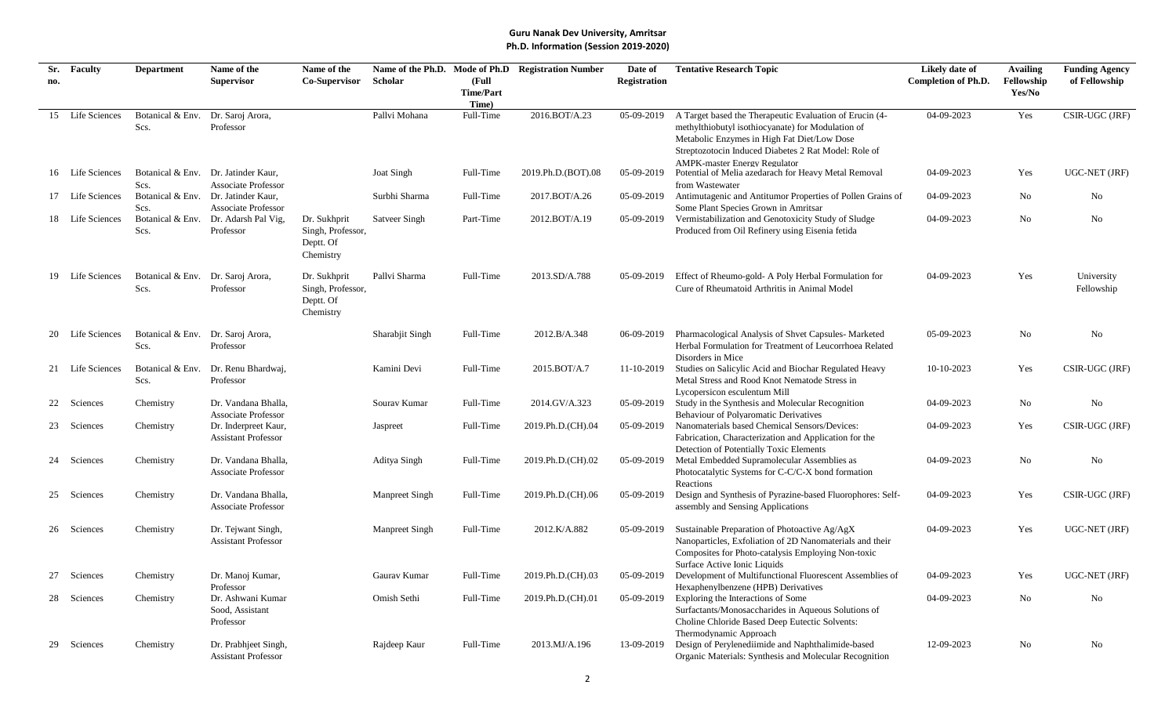| Sr. | Faculty          | <b>Department</b>        | Name of the                                       | Name of the          |                   |                           | Name of the Ph.D. Mode of Ph.D Registration Number | Date of             | <b>Tentative Research Topic</b>                                                                             | Likely date of             | <b>Availing</b> | <b>Funding Agency</b> |
|-----|------------------|--------------------------|---------------------------------------------------|----------------------|-------------------|---------------------------|----------------------------------------------------|---------------------|-------------------------------------------------------------------------------------------------------------|----------------------------|-----------------|-----------------------|
| no. |                  |                          | <b>Supervisor</b>                                 | <b>Co-Supervisor</b> | Scholar           | (Full                     |                                                    | <b>Registration</b> |                                                                                                             | <b>Completion of Ph.D.</b> | Fellowship      | of Fellowship         |
|     |                  |                          |                                                   |                      |                   | <b>Time/Part</b><br>Time) |                                                    |                     |                                                                                                             |                            | Yes/No          |                       |
|     | 15 Life Sciences | Botanical & Env.         | Dr. Saroj Arora,                                  |                      | Pallvi Mohana     | Full-Time                 | 2016.BOT/A.23                                      | 05-09-2019          | A Target based the Therapeutic Evaluation of Erucin (4-                                                     | 04-09-2023                 | Yes             | CSIR-UGC (JRF)        |
|     |                  | Scs.                     | Professor                                         |                      |                   |                           |                                                    |                     | methylthiobutyl isothiocyanate) for Modulation of                                                           |                            |                 |                       |
|     |                  |                          |                                                   |                      |                   |                           |                                                    |                     | Metabolic Enzymes in High Fat Diet/Low Dose                                                                 |                            |                 |                       |
|     |                  |                          |                                                   |                      |                   |                           |                                                    |                     | Streptozotocin Induced Diabetes 2 Rat Model: Role of<br><b>AMPK-master Energy Regulator</b>                 |                            |                 |                       |
|     | 16 Life Sciences |                          | Botanical & Env. Dr. Jatinder Kaur,               |                      | <b>Joat Singh</b> | Full-Time                 | 2019.Ph.D.(BOT).08                                 | 05-09-2019          | Potential of Melia azedarach for Heavy Metal Removal                                                        | 04-09-2023                 | Yes             | UGC-NET (JRF)         |
|     |                  | Scs.                     | <b>Associate Professor</b>                        |                      |                   |                           |                                                    |                     | from Wastewater                                                                                             |                            |                 |                       |
|     | 17 Life Sciences | Botanical & Env.<br>Scs. | Dr. Jatinder Kaur,<br><b>Associate Professor</b>  |                      | Surbhi Sharma     | Full-Time                 | 2017.BOT/A.26                                      | 05-09-2019          | Antimutagenic and Antitumor Properties of Pollen Grains of<br>Some Plant Species Grown in Amritsar          | 04-09-2023                 | No              | No                    |
|     | 18 Life Sciences | Botanical & Env.         | Dr. Adarsh Pal Vig,                               | Dr. Sukhprit         | Satveer Singh     | Part-Time                 | 2012.BOT/A.19                                      |                     | 05-09-2019 Vermistabilization and Genotoxicity Study of Sludge                                              | 04-09-2023                 | No              | No                    |
|     |                  | Scs.                     | Professor                                         | Singh, Professor,    |                   |                           |                                                    |                     | Produced from Oil Refinery using Eisenia fetida                                                             |                            |                 |                       |
|     |                  |                          |                                                   | Deptt. Of            |                   |                           |                                                    |                     |                                                                                                             |                            |                 |                       |
|     |                  |                          |                                                   | Chemistry            |                   |                           |                                                    |                     |                                                                                                             |                            |                 |                       |
|     | 19 Life Sciences | Botanical & Env.         | Dr. Saroj Arora,                                  | Dr. Sukhprit         | Pallvi Sharma     | Full-Time                 | 2013.SD/A.788                                      | 05-09-2019          | Effect of Rheumo-gold- A Poly Herbal Formulation for                                                        | 04-09-2023                 | Yes             | University            |
|     |                  | Scs.                     | Professor                                         | Singh, Professor,    |                   |                           |                                                    |                     | Cure of Rheumatoid Arthritis in Animal Model                                                                |                            |                 | Fellowship            |
|     |                  |                          |                                                   | Deptt. Of            |                   |                           |                                                    |                     |                                                                                                             |                            |                 |                       |
|     |                  |                          |                                                   | Chemistry            |                   |                           |                                                    |                     |                                                                                                             |                            |                 |                       |
|     | 20 Life Sciences | Botanical & Env.         | Dr. Saroj Arora,                                  |                      | Sharabjit Singh   | Full-Time                 | 2012.B/A.348                                       | 06-09-2019          | Pharmacological Analysis of Shvet Capsules-Marketed                                                         | 05-09-2023                 | No              | No                    |
|     |                  | Scs.                     | Professor                                         |                      |                   |                           |                                                    |                     | Herbal Formulation for Treatment of Leucorrhoea Related                                                     |                            |                 |                       |
|     | 21 Life Sciences | Botanical & Env.         | Dr. Renu Bhardwaj,                                |                      | Kamini Devi       | Full-Time                 | 2015.BOT/A.7                                       | 11-10-2019          | Disorders in Mice<br>Studies on Salicylic Acid and Biochar Regulated Heavy                                  | 10-10-2023                 | Yes             | CSIR-UGC (JRF)        |
|     |                  | Scs.                     | Professor                                         |                      |                   |                           |                                                    |                     | Metal Stress and Rood Knot Nematode Stress in                                                               |                            |                 |                       |
|     |                  |                          |                                                   |                      |                   |                           |                                                    |                     | Lycopersicon esculentum Mill                                                                                |                            |                 |                       |
|     | 22 Sciences      | Chemistry                | Dr. Vandana Bhalla,<br><b>Associate Professor</b> |                      | Sourav Kumar      | Full-Time                 | 2014.GV/A.323                                      |                     | 05-09-2019 Study in the Synthesis and Molecular Recognition<br><b>Behaviour of Polyaromatic Derivatives</b> | 04-09-2023                 | No              | No                    |
|     | 23 Sciences      | Chemistry                | Dr. Inderpreet Kaur,                              |                      | Jaspreet          | Full-Time                 | 2019.Ph.D.(CH).04                                  | 05-09-2019          | Nanomaterials based Chemical Sensors/Devices:                                                               | 04-09-2023                 | Yes             | CSIR-UGC (JRF)        |
|     |                  |                          | <b>Assistant Professor</b>                        |                      |                   |                           |                                                    |                     | Fabrication, Characterization and Application for the                                                       |                            |                 |                       |
|     |                  |                          |                                                   |                      |                   |                           |                                                    |                     | Detection of Potentially Toxic Elements                                                                     |                            |                 |                       |
|     | 24 Sciences      | Chemistry                | Dr. Vandana Bhalla,<br><b>Associate Professor</b> |                      | Aditya Singh      | Full-Time                 | 2019.Ph.D.(CH).02                                  | 05-09-2019          | Metal Embedded Supramolecular Assemblies as<br>Photocatalytic Systems for C-C/C-X bond formation            | 04-09-2023                 | No              | No                    |
|     |                  |                          |                                                   |                      |                   |                           |                                                    |                     | Reactions                                                                                                   |                            |                 |                       |
|     | 25 Sciences      | Chemistry                | Dr. Vandana Bhalla,                               |                      | Manpreet Singh    | Full-Time                 | 2019.Ph.D.(CH).06                                  | 05-09-2019          | Design and Synthesis of Pyrazine-based Fluorophores: Self-                                                  | 04-09-2023                 | Yes             | CSIR-UGC (JRF)        |
|     |                  |                          | <b>Associate Professor</b>                        |                      |                   |                           |                                                    |                     | assembly and Sensing Applications                                                                           |                            |                 |                       |
|     | 26 Sciences      | Chemistry                | Dr. Tejwant Singh,                                |                      | Manpreet Singh    | Full-Time                 | 2012.K/A.882                                       | 05-09-2019          | Sustainable Preparation of Photoactive Ag/AgX                                                               | 04-09-2023                 | Yes             | UGC-NET (JRF)         |
|     |                  |                          | <b>Assistant Professor</b>                        |                      |                   |                           |                                                    |                     | Nanoparticles, Exfoliation of 2D Nanomaterials and their                                                    |                            |                 |                       |
|     |                  |                          |                                                   |                      |                   |                           |                                                    |                     | Composites for Photo-catalysis Employing Non-toxic                                                          |                            |                 |                       |
|     | Sciences         | Chemistry                | Dr. Manoj Kumar,                                  |                      | Gaurav Kumar      | Full-Time                 | 2019.Ph.D.(CH).03                                  | 05-09-2019          | Surface Active Ionic Liquids<br>Development of Multifunctional Fluorescent Assemblies of                    | 04-09-2023                 | Yes             | UGC-NET (JRF)         |
|     |                  |                          | Professor                                         |                      |                   |                           |                                                    |                     | Hexaphenylbenzene (HPB) Derivatives                                                                         |                            |                 |                       |
|     | 28 Sciences      | Chemistry                | Dr. Ashwani Kumar                                 |                      | Omish Sethi       | Full-Time                 | 2019.Ph.D.(CH).01                                  | 05-09-2019          | Exploring the Interactions of Some                                                                          | 04-09-2023                 | N <sub>o</sub>  | N <sub>o</sub>        |
|     |                  |                          | Sood, Assistant<br>Professor                      |                      |                   |                           |                                                    |                     | Surfactants/Monosaccharides in Aqueous Solutions of<br>Choline Chloride Based Deep Eutectic Solvents:       |                            |                 |                       |
|     |                  |                          |                                                   |                      |                   |                           |                                                    |                     | Thermodynamic Approach                                                                                      |                            |                 |                       |
|     | 29 Sciences      | Chemistry                | Dr. Prabhjeet Singh,                              |                      | Rajdeep Kaur      | Full-Time                 | 2013.MJ/A.196                                      | 13-09-2019          | Design of Perylenediimide and Naphthalimide-based                                                           | 12-09-2023                 | No              | No                    |
|     |                  |                          | <b>Assistant Professor</b>                        |                      |                   |                           |                                                    |                     | Organic Materials: Synthesis and Molecular Recognition                                                      |                            |                 |                       |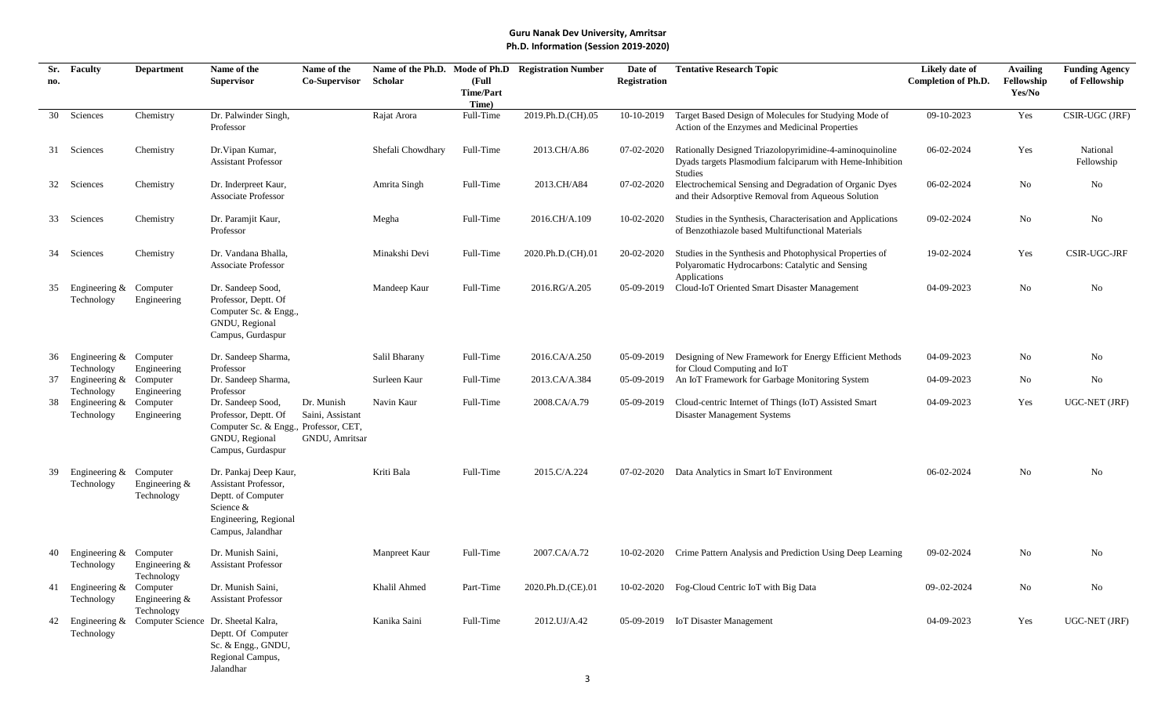| Sr. | <b>Faculty</b>                          | <b>Department</b>                                 | Name of the                                                                                                                    | Name of the                                      |                   |                                    | Name of the Ph.D. Mode of Ph.D Registration Number | Date of             | <b>Tentative Research Topic</b>                                                                                                | Likely date of             | <b>Availing</b>      | <b>Funding Agency</b>  |
|-----|-----------------------------------------|---------------------------------------------------|--------------------------------------------------------------------------------------------------------------------------------|--------------------------------------------------|-------------------|------------------------------------|----------------------------------------------------|---------------------|--------------------------------------------------------------------------------------------------------------------------------|----------------------------|----------------------|------------------------|
| no. |                                         |                                                   | <b>Supervisor</b>                                                                                                              | <b>Co-Supervisor</b>                             | Scholar           | (Full<br><b>Time/Part</b><br>Time) |                                                    | <b>Registration</b> |                                                                                                                                | <b>Completion of Ph.D.</b> | Fellowship<br>Yes/No | of Fellowship          |
| 30  | Sciences                                | Chemistry                                         | Dr. Palwinder Singh,<br>Professor                                                                                              |                                                  | Rajat Arora       | Full-Time                          | 2019.Ph.D.(CH).05                                  | 10-10-2019          | Target Based Design of Molecules for Studying Mode of<br>Action of the Enzymes and Medicinal Properties                        | 09-10-2023                 | Yes                  | CSIR-UGC (JRF)         |
|     | 31 Sciences                             | Chemistry                                         | Dr. Vipan Kumar,<br><b>Assistant Professor</b>                                                                                 |                                                  | Shefali Chowdhary | Full-Time                          | 2013.CH/A.86                                       | 07-02-2020          | Rationally Designed Triazolopyrimidine-4-aminoquinoline<br>Dyads targets Plasmodium falciparum with Heme-Inhibition<br>Studies | 06-02-2024                 | Yes                  | National<br>Fellowship |
|     | 32 Sciences                             | Chemistry                                         | Dr. Inderpreet Kaur,<br><b>Associate Professor</b>                                                                             |                                                  | Amrita Singh      | Full-Time                          | 2013.CH/A84                                        | 07-02-2020          | Electrochemical Sensing and Degradation of Organic Dyes<br>and their Adsorptive Removal from Aqueous Solution                  | 06-02-2024                 | No                   | No                     |
|     | 33 Sciences                             | Chemistry                                         | Dr. Paramjit Kaur,<br>Professor                                                                                                |                                                  | Megha             | Full-Time                          | 2016.CH/A.109                                      | 10-02-2020          | Studies in the Synthesis, Characterisation and Applications<br>of Benzothiazole based Multifunctional Materials                | 09-02-2024                 | No                   | No                     |
|     | 34 Sciences                             | Chemistry                                         | Dr. Vandana Bhalla,<br>Associate Professor                                                                                     |                                                  | Minakshi Devi     | Full-Time                          | 2020.Ph.D.(CH).01                                  | 20-02-2020          | Studies in the Synthesis and Photophysical Properties of<br>Polyaromatic Hydrocarbons: Catalytic and Sensing                   | 19-02-2024                 | Yes                  | <b>CSIR-UGC-JRF</b>    |
| 35  | Engineering $&$<br>Technology           | Computer<br>Engineering                           | Dr. Sandeep Sood,<br>Professor, Deptt. Of<br>Computer Sc. & Engg.,<br>GNDU, Regional<br>Campus, Gurdaspur                      |                                                  | Mandeep Kaur      | Full-Time                          | 2016.RG/A.205                                      | 05-09-2019          | Applications<br>Cloud-IoT Oriented Smart Disaster Management                                                                   | 04-09-2023                 | No                   | No                     |
| 36  | Engineering & Computer<br>Technology    | Engineering                                       | Dr. Sandeep Sharma,<br>Professor                                                                                               |                                                  | Salil Bharany     | Full-Time                          | 2016.CA/A.250                                      | 05-09-2019          | Designing of New Framework for Energy Efficient Methods<br>for Cloud Computing and IoT                                         | 04-09-2023                 | No                   | No                     |
| 37  | Engineering & Computer<br>Technology    | Engineering                                       | Dr. Sandeep Sharma,<br>Professor                                                                                               |                                                  | Surleen Kaur      | Full-Time                          | 2013.CA/A.384                                      | 05-09-2019          | An IoT Framework for Garbage Monitoring System                                                                                 | 04-09-2023                 | No                   | No                     |
| 38  | Engineering $&$<br>Technology           | Computer<br>Engineering                           | Dr. Sandeep Sood,<br>Professor, Deptt. Of<br>Computer Sc. & Engg., Professor, CET,<br>GNDU, Regional<br>Campus, Gurdaspur      | Dr. Munish<br>Saini, Assistant<br>GNDU, Amritsar | Navin Kaur        | Full-Time                          | 2008.CA/A.79                                       | 05-09-2019          | Cloud-centric Internet of Things (IoT) Assisted Smart<br>Disaster Management Systems                                           | 04-09-2023                 | Yes                  | UGC-NET (JRF)          |
| 39  | Engineering &<br>Technology             | Computer<br>Engineering $&$<br>Technology         | Dr. Pankaj Deep Kaur,<br>Assistant Professor,<br>Deptt. of Computer<br>Science &<br>Engineering, Regional<br>Campus, Jalandhar |                                                  | Kriti Bala        | Full-Time                          | 2015.C/A.224                                       | 07-02-2020          | Data Analytics in Smart IoT Environment                                                                                        | 06-02-2024                 | No                   | No                     |
| 40  | Engineering &<br>Technology             | Computer<br>Engineering $&$<br>Technology         | Dr. Munish Saini,<br><b>Assistant Professor</b>                                                                                |                                                  | Manpreet Kaur     | Full-Time                          | 2007.CA/A.72                                       | 10-02-2020          | Crime Pattern Analysis and Prediction Using Deep Learning                                                                      | 09-02-2024                 | No                   | No                     |
|     | 41 Engineering & Computer<br>Technology | Engineering $&$<br>Technology                     | Dr. Munish Saini,<br><b>Assistant Professor</b>                                                                                |                                                  | Khalil Ahmed      | Part-Time                          | 2020.Ph.D.(CE).01                                  |                     | 10-02-2020 Fog-Cloud Centric IoT with Big Data                                                                                 | 09-.02-2024                | No                   | No                     |
| 42  | Technology                              | Engineering & Computer Science Dr. Sheetal Kalra, | Deptt. Of Computer<br>Sc. & Engg., GNDU,<br>Regional Campus,<br>Jalandhar                                                      |                                                  | Kanika Saini      | Full-Time                          | 2012.UJ/A.42                                       |                     | 05-09-2019 IoT Disaster Management                                                                                             | 04-09-2023                 | Yes                  | UGC-NET (JRF)          |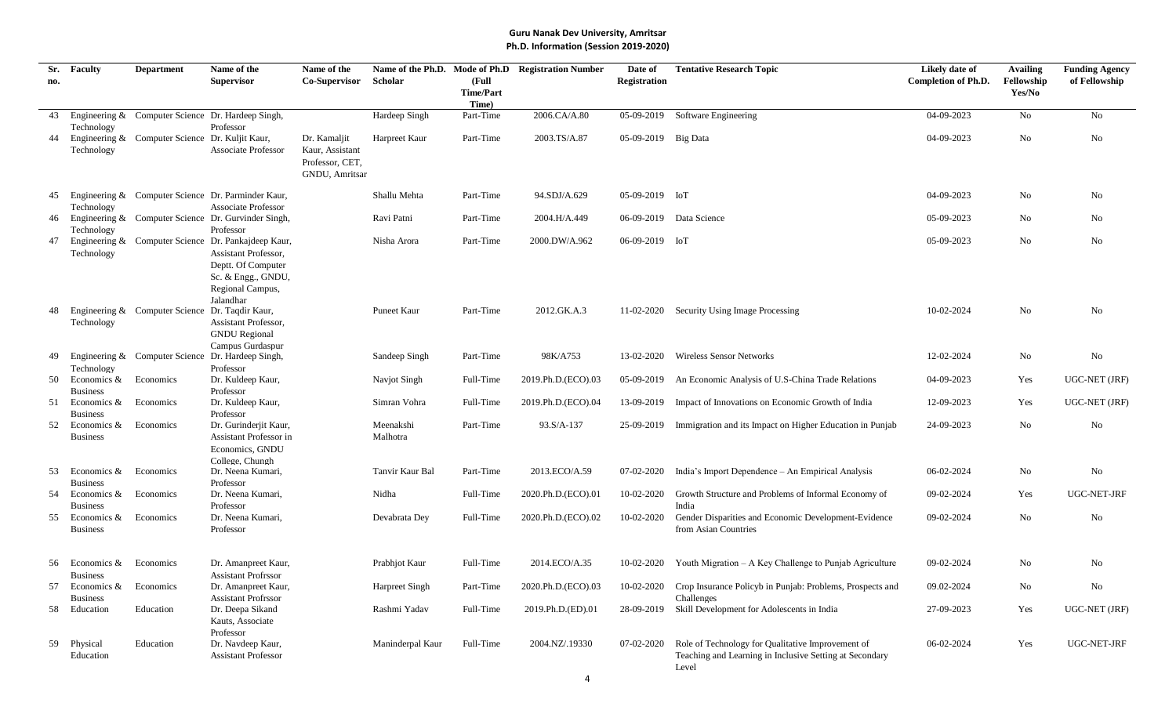| Sr.<br>no. | Faculty                           | <b>Department</b>                               | Name of the<br><b>Supervisor</b>                                                                                                                         | Name of the<br>Co-Supervisor                                         | Scholar               | (Full<br><b>Time/Part</b><br>Time) | Name of the Ph.D. Mode of Ph.D Registration Number | Date of<br>Registration | <b>Tentative Research Topic</b>                                                                                       | Likely date of<br><b>Completion of Ph.D.</b> | <b>Availing</b><br>Fellowship<br>Yes/No | <b>Funding Agency</b><br>of Fellowship |
|------------|-----------------------------------|-------------------------------------------------|----------------------------------------------------------------------------------------------------------------------------------------------------------|----------------------------------------------------------------------|-----------------------|------------------------------------|----------------------------------------------------|-------------------------|-----------------------------------------------------------------------------------------------------------------------|----------------------------------------------|-----------------------------------------|----------------------------------------|
| 43         |                                   |                                                 | Engineering & Computer Science Dr. Hardeep Singh,                                                                                                        |                                                                      | Hardeep Singh         | Part-Time                          | 2006.CA/A.80                                       | 05-09-2019              | Software Engineering                                                                                                  | 04-09-2023                                   | No                                      | No                                     |
| 44         | Technology<br>Technology          | Engineering & Computer Science Dr. Kuljit Kaur, | Professor<br><b>Associate Professor</b>                                                                                                                  | Dr. Kamaljit<br>Kaur, Assistant<br>Professor, CET,<br>GNDU, Amritsar | Harpreet Kaur         | Part-Time                          | 2003.TS/A.87                                       | 05-09-2019 Big Data     |                                                                                                                       | 04-09-2023                                   | No                                      | No                                     |
| 45         | Technology                        |                                                 | Engineering & Computer Science Dr. Parminder Kaur,<br><b>Associate Professor</b>                                                                         |                                                                      | Shallu Mehta          | Part-Time                          | 94.SDJ/A.629                                       | 05-09-2019 IoT          |                                                                                                                       | 04-09-2023                                   | No                                      | No                                     |
| 46         | Technology                        |                                                 | Engineering & Computer Science Dr. Gurvinder Singh,<br>Professor                                                                                         |                                                                      | Ravi Patni            | Part-Time                          | 2004.H/A.449                                       |                         | 06-09-2019 Data Science                                                                                               | 05-09-2023                                   | No                                      | No                                     |
| 47         | Technology                        |                                                 | Engineering & Computer Science Dr. Pankajdeep Kaur,<br>Assistant Professor,<br>Deptt. Of Computer<br>Sc. & Engg., GNDU,<br>Regional Campus,<br>Jalandhar |                                                                      | Nisha Arora           | Part-Time                          | 2000.DW/A.962                                      | 06-09-2019 IoT          |                                                                                                                       | 05-09-2023                                   | No                                      | No                                     |
| 48         | Technology                        | Engineering & Computer Science Dr. Taqdir Kaur, | Assistant Professor,<br><b>GNDU</b> Regional<br>Campus Gurdaspur                                                                                         |                                                                      | Puneet Kaur           | Part-Time                          | 2012.GK.A.3                                        |                         | 11-02-2020 Security Using Image Processing                                                                            | 10-02-2024                                   | No                                      | No                                     |
| 49         | Technology                        |                                                 | Engineering & Computer Science Dr. Hardeep Singh,<br>Professor                                                                                           |                                                                      | Sandeep Singh         | Part-Time                          | 98K/A753                                           | 13-02-2020              | <b>Wireless Sensor Networks</b>                                                                                       | 12-02-2024                                   | No                                      | No                                     |
| 50         | Economics &<br><b>Business</b>    | Economics                                       | Dr. Kuldeep Kaur,<br>Professor                                                                                                                           |                                                                      | Navjot Singh          | Full-Time                          | 2019.Ph.D.(ECO).03                                 | 05-09-2019              | An Economic Analysis of U.S-China Trade Relations                                                                     | 04-09-2023                                   | Yes                                     | UGC-NET (JRF)                          |
| 51         | Economics &<br><b>Business</b>    | Economics                                       | Dr. Kuldeep Kaur,<br>Professor                                                                                                                           |                                                                      | Simran Vohra          | Full-Time                          | 2019.Ph.D.(ECO).04                                 | 13-09-2019              | Impact of Innovations on Economic Growth of India                                                                     | 12-09-2023                                   | Yes                                     | UGC-NET (JRF)                          |
| 52         | Economics &<br><b>Business</b>    | Economics                                       | Dr. Gurinderjit Kaur,<br>Assistant Professor in<br>Economics, GNDU<br>College, Chungh                                                                    |                                                                      | Meenakshi<br>Malhotra | Part-Time                          | 93.S/A-137                                         |                         | 25-09-2019 Immigration and its Impact on Higher Education in Punjab                                                   | 24-09-2023                                   | No                                      | No                                     |
| 53         | Economics &<br><b>Business</b>    | Economics                                       | Dr. Neena Kumari,<br>Professor                                                                                                                           |                                                                      | Tanvir Kaur Bal       | Part-Time                          | 2013.ECO/A.59                                      | 07-02-2020              | India's Import Dependence – An Empirical Analysis                                                                     | 06-02-2024                                   | No                                      | No                                     |
| 54         | Economics $\&$<br><b>Business</b> | Economics                                       | Dr. Neena Kumari,<br>Professor                                                                                                                           |                                                                      | Nidha                 | Full-Time                          | 2020.Ph.D.(ECO).01                                 | 10-02-2020              | Growth Structure and Problems of Informal Economy of<br>India                                                         | 09-02-2024                                   | Yes                                     | UGC-NET-JRF                            |
| 55         | Economics &<br><b>Business</b>    | Economics                                       | Dr. Neena Kumari.<br>Professor                                                                                                                           |                                                                      | Devabrata Dey         | Full-Time                          | 2020.Ph.D.(ECO).02                                 | 10-02-2020              | Gender Disparities and Economic Development-Evidence<br>from Asian Countries                                          | 09-02-2024                                   | No                                      | No                                     |
| 56         | Economics &<br><b>Business</b>    | Economics                                       | Dr. Amanpreet Kaur,<br><b>Assistant Profrssor</b>                                                                                                        |                                                                      | Prabhjot Kaur         | Full-Time                          | 2014.ECO/A.35                                      | 10-02-2020              | Youth Migration – A Key Challenge to Punjab Agriculture                                                               | 09-02-2024                                   | No                                      | No                                     |
| 57         | Economics &<br><b>Business</b>    | Economics                                       | Dr. Amanpreet Kaur,<br><b>Assistant Profrssor</b>                                                                                                        |                                                                      | Harpreet Singh        | Part-Time                          | 2020.Ph.D.(ECO).03                                 | 10-02-2020              | Crop Insurance Policyb in Punjab: Problems, Prospects and<br>Challenges                                               | 09.02-2024                                   | No                                      | No                                     |
| 58         | Education                         | Education                                       | Dr. Deepa Sikand<br>Kauts, Associate<br>Professor                                                                                                        |                                                                      | Rashmi Yadav          | Full-Time                          | 2019.Ph.D.(ED).01                                  | 28-09-2019              | Skill Development for Adolescents in India                                                                            | 27-09-2023                                   | Yes                                     | <b>UGC-NET (JRF)</b>                   |
| 59         | Physical<br>Education             | Education                                       | Dr. Navdeep Kaur,<br><b>Assistant Professor</b>                                                                                                          |                                                                      | Maninderpal Kaur      | Full-Time                          | 2004.NZ/.19330                                     | 07-02-2020              | Role of Technology for Qualitative Improvement of<br>Teaching and Learning in Inclusive Setting at Secondary<br>Level | 06-02-2024                                   | Yes                                     | UGC-NET-JRF                            |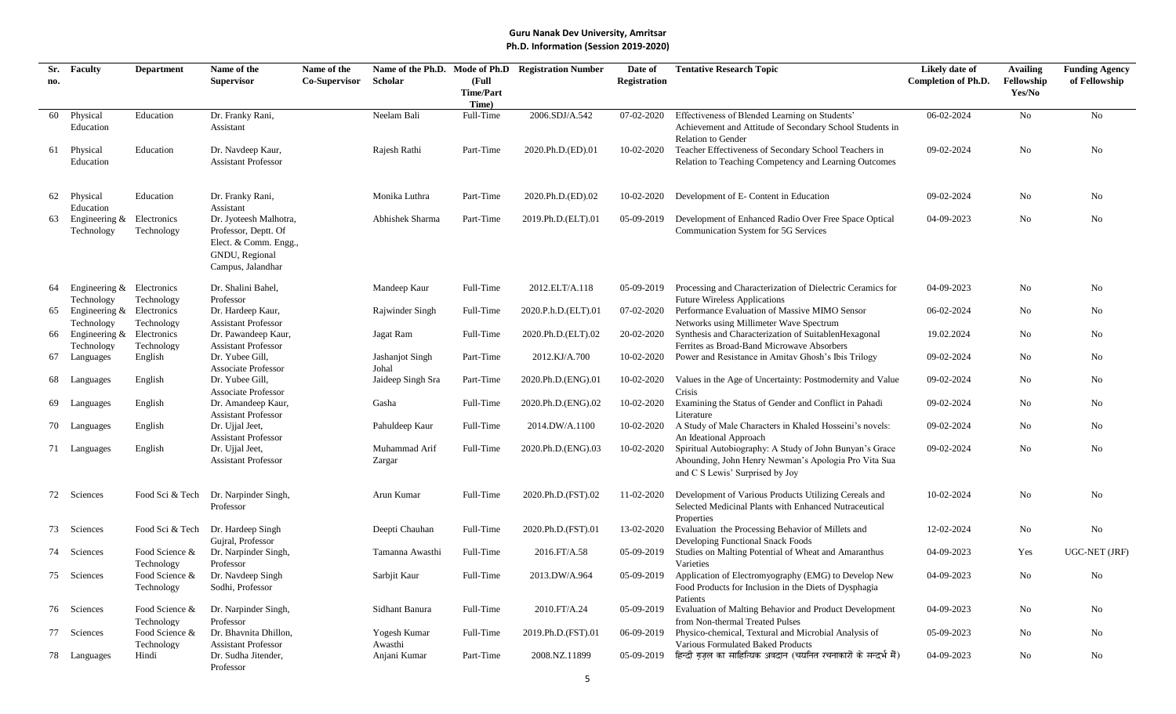| Sr. | <b>Faculty</b>                | <b>Department</b>            | Name of the                                         | Name of the          |                         |                    | Name of the Ph.D. Mode of Ph.D Registration Number | Date of             | <b>Tentative Research Topic</b>                                                                      | Likely date of             | <b>Availing</b> | <b>Funding Agency</b> |
|-----|-------------------------------|------------------------------|-----------------------------------------------------|----------------------|-------------------------|--------------------|----------------------------------------------------|---------------------|------------------------------------------------------------------------------------------------------|----------------------------|-----------------|-----------------------|
| no. |                               |                              | <b>Supervisor</b>                                   | <b>Co-Supervisor</b> | Scholar                 | (Full              |                                                    | <b>Registration</b> |                                                                                                      | <b>Completion of Ph.D.</b> | Fellowship      | of Fellowship         |
|     |                               |                              |                                                     |                      |                         | <b>Time/Part</b>   |                                                    |                     |                                                                                                      |                            | Yes/No          |                       |
| 60  | Physical                      | Education                    | Dr. Franky Rani,                                    |                      | Neelam Bali             | Time)<br>Full-Time | 2006.SDJ/A.542                                     | 07-02-2020          | Effectiveness of Blended Learning on Students'                                                       | 06-02-2024                 | No              | No                    |
|     | Education                     |                              | Assistant                                           |                      |                         |                    |                                                    |                     | Achievement and Attitude of Secondary School Students in                                             |                            |                 |                       |
|     |                               |                              |                                                     |                      |                         |                    |                                                    |                     | <b>Relation to Gender</b>                                                                            |                            |                 |                       |
| 61  | Physical                      | Education                    | Dr. Navdeep Kaur,                                   |                      | Rajesh Rathi            | Part-Time          | 2020.Ph.D.(ED).01                                  | 10-02-2020          | Teacher Effectiveness of Secondary School Teachers in                                                | 09-02-2024                 | No              | No                    |
|     | Education                     |                              | <b>Assistant Professor</b>                          |                      |                         |                    |                                                    |                     | Relation to Teaching Competency and Learning Outcomes                                                |                            |                 |                       |
| 62  | Physical                      | Education                    | Dr. Franky Rani,                                    |                      | Monika Luthra           | Part-Time          | 2020.Ph.D.(ED).02                                  | 10-02-2020          | Development of E- Content in Education                                                               | 09-02-2024                 | No              | No                    |
|     | Education                     |                              | Assistant                                           |                      |                         |                    |                                                    |                     |                                                                                                      |                            |                 |                       |
|     | Engineering $&$               | Electronics                  | Dr. Jyoteesh Malhotra,                              |                      | Abhishek Sharma         | Part-Time          | 2019.Ph.D.(ELT).01                                 | 05-09-2019          | Development of Enhanced Radio Over Free Space Optical                                                | 04-09-2023                 | No              | No                    |
|     | Technology                    | Technology                   | Professor, Deptt. Of                                |                      |                         |                    |                                                    |                     | Communication System for 5G Services                                                                 |                            |                 |                       |
|     |                               |                              | Elect. & Comm. Engg.,                               |                      |                         |                    |                                                    |                     |                                                                                                      |                            |                 |                       |
|     |                               |                              | GNDU, Regional<br>Campus, Jalandhar                 |                      |                         |                    |                                                    |                     |                                                                                                      |                            |                 |                       |
| 64  | Engineering & Electronics     |                              | Dr. Shalini Bahel,                                  |                      | Mandeep Kaur            | Full-Time          | 2012.ELT/A.118                                     | 05-09-2019          | Processing and Characterization of Dielectric Ceramics for                                           | 04-09-2023                 | No              | No                    |
|     | Technology                    | Technology                   | Professor                                           |                      |                         |                    |                                                    |                     | <b>Future Wireless Applications</b>                                                                  |                            |                 |                       |
| 65  | Engineering & Electronics     |                              | Dr. Hardeep Kaur,                                   |                      | Rajwinder Singh         | Full-Time          | 2020.P.h.D.(ELT).01                                | 07-02-2020          | Performance Evaluation of Massive MIMO Sensor                                                        | 06-02-2024                 | No              | No                    |
|     | Technology                    | Technology                   | <b>Assistant Professor</b>                          |                      |                         |                    |                                                    |                     | Networks using Millimeter Wave Spectrum                                                              |                            |                 |                       |
| 66  | Engineering $&$<br>Technology | Electronics<br>Technology    | Dr. Pawandeep Kaur,<br><b>Assistant Professor</b>   |                      | Jagat Ram               | Full-Time          | 2020.Ph.D.(ELT).02                                 | 20-02-2020          | Synthesis and Characterization of Suitablen Hexagonal<br>Ferrites as Broad-Band Microwave Absorbers  | 19.02.2024                 | No              | No                    |
| 67  | Languages                     | English                      | Dr. Yubee Gill,                                     |                      | Jashanjot Singh         | Part-Time          | 2012.KJ/A.700                                      | 10-02-2020          | Power and Resistance in Amitav Ghosh's Ibis Trilogy                                                  | 09-02-2024                 | No              | No                    |
|     |                               |                              | <b>Associate Professor</b>                          |                      | Johal                   |                    |                                                    |                     |                                                                                                      |                            |                 |                       |
|     | 68 Languages                  | English                      | Dr. Yubee Gill,                                     |                      | Jaideep Singh Sra       | Part-Time          | 2020.Ph.D.(ENG).01                                 | 10-02-2020          | Values in the Age of Uncertainty: Postmodernity and Value                                            | 09-02-2024                 | No              | No                    |
|     |                               |                              | Associate Professor                                 |                      |                         |                    |                                                    |                     | Crisis                                                                                               |                            |                 |                       |
|     | Languages                     | English                      | Dr. Amandeep Kaur,                                  |                      | Gasha                   | Full-Time          | 2020.Ph.D.(ENG).02                                 | 10-02-2020          | Examining the Status of Gender and Conflict in Pahadi                                                | 09-02-2024                 | No              | No                    |
|     | 70 Languages                  | English                      | <b>Assistant Professor</b><br>Dr. Ujjal Jeet,       |                      | Pahuldeep Kaur          | Full-Time          | 2014.DW/A.1100                                     | 10-02-2020          | Literature<br>A Study of Male Characters in Khaled Hosseini's novels:                                | 09-02-2024                 | No              | No                    |
|     |                               |                              | <b>Assistant Professor</b>                          |                      |                         |                    |                                                    |                     | An Ideational Approach                                                                               |                            |                 |                       |
|     | 71 Languages                  | English                      | Dr. Ujjal Jeet,                                     |                      | Muhammad Arif           | Full-Time          | 2020.Ph.D.(ENG).03                                 | 10-02-2020          | Spiritual Autobiography: A Study of John Bunyan's Grace                                              | 09-02-2024                 | No              | No                    |
|     |                               |                              | <b>Assistant Professor</b>                          |                      | Zargar                  |                    |                                                    |                     | Abounding, John Henry Newman's Apologia Pro Vita Sua                                                 |                            |                 |                       |
|     |                               |                              |                                                     |                      |                         |                    |                                                    |                     | and C S Lewis' Surprised by Joy                                                                      |                            |                 |                       |
|     | 72 Sciences                   | Food Sci & Tech              | Dr. Narpinder Singh,                                |                      | Arun Kumar              | Full-Time          | 2020.Ph.D.(FST).02                                 | 11-02-2020          | Development of Various Products Utilizing Cereals and                                                | 10-02-2024                 | No              | No                    |
|     |                               |                              | Professor                                           |                      |                         |                    |                                                    |                     | Selected Medicinal Plants with Enhanced Nutraceutical                                                |                            |                 |                       |
|     |                               |                              |                                                     |                      |                         |                    |                                                    |                     | Properties                                                                                           |                            |                 |                       |
|     | 73 Sciences                   | Food Sci & Tech              | Dr. Hardeep Singh                                   |                      | Deepti Chauhan          | Full-Time          | 2020.Ph.D.(FST).01                                 | 13-02-2020          | Evaluation the Processing Behavior of Millets and                                                    | 12-02-2024                 | No              | No                    |
|     |                               |                              | Gujral, Professor                                   |                      |                         |                    |                                                    |                     | Developing Functional Snack Foods                                                                    |                            |                 |                       |
| 74  | Sciences                      | Food Science &               | Dr. Narpinder Singh,<br>Professor                   |                      | Tamanna Awasthi         | Full-Time          | 2016.FT/A.58                                       | 05-09-2019          | Studies on Malting Potential of Wheat and Amaranthus<br>Varieties                                    | 04-09-2023                 | Yes             | UGC-NET (JRF)         |
|     | 75 Sciences                   | Technology<br>Food Science & | Dr. Navdeep Singh                                   |                      | Sarbjit Kaur            | Full-Time          | 2013.DW/A.964                                      | 05-09-2019          | Application of Electromyography (EMG) to Develop New                                                 | 04-09-2023                 | No              | No                    |
|     |                               | Technology                   | Sodhi, Professor                                    |                      |                         |                    |                                                    |                     | Food Products for Inclusion in the Diets of Dysphagia                                                |                            |                 |                       |
|     |                               |                              |                                                     |                      |                         |                    |                                                    |                     | Patients                                                                                             |                            |                 |                       |
|     | 76 Sciences                   | Food Science &               | Dr. Narpinder Singh,                                |                      | Sidhant Banura          | Full-Time          | 2010.FT/A.24                                       |                     | 05-09-2019 Evaluation of Malting Behavior and Product Development                                    | 04-09-2023                 | No              | No                    |
|     |                               | Technology                   | Professor                                           |                      |                         |                    |                                                    |                     | from Non-thermal Treated Pulses                                                                      |                            |                 |                       |
|     | 77 Sciences                   | Food Science &               | Dr. Bhavnita Dhillon,<br><b>Assistant Professor</b> |                      | Yogesh Kumar            | Full-Time          | 2019.Ph.D.(FST).01                                 |                     | 06-09-2019 Physico-chemical, Textural and Microbial Analysis of<br>Various Formulated Baked Products | 05-09-2023                 | No              | No                    |
|     | 78 Languages                  | Technology<br>Hindi          | Dr. Sudha Jitender,                                 |                      | Awasthi<br>Anjani Kumar | Part-Time          | 2008.NZ.11899                                      | 05-09-2019          | हिन्दी ग़ज़ल का साहित्यिक अवदान (चयनित रचनाकारों के सन्दर्भ में)                                     | 04-09-2023                 | No              | No                    |
|     |                               |                              | Professor                                           |                      |                         |                    |                                                    |                     |                                                                                                      |                            |                 |                       |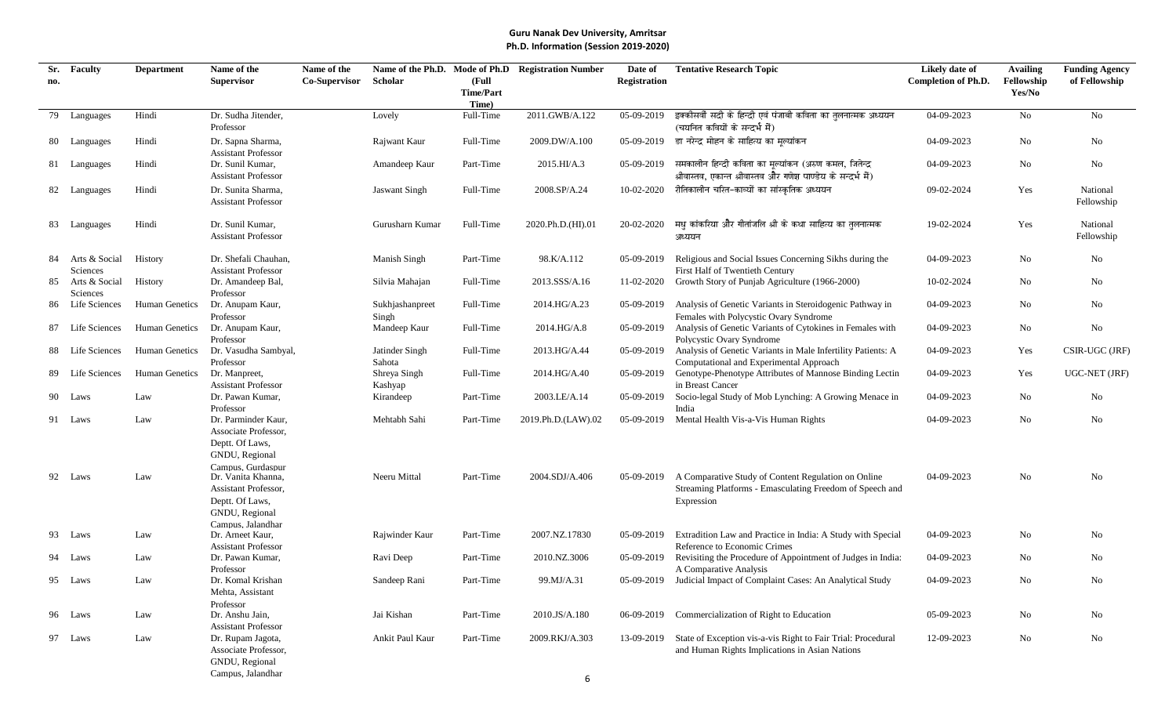| Sr. | <b>Faculty</b>   | <b>Department</b> | Name of the                                     | Name of the   |                      |                    | Name of the Ph.D. Mode of Ph.D Registration Number | Date of             | <b>Tentative Research Topic</b>                                                             | Likely date of             | <b>Availing</b> | <b>Funding Agency</b> |
|-----|------------------|-------------------|-------------------------------------------------|---------------|----------------------|--------------------|----------------------------------------------------|---------------------|---------------------------------------------------------------------------------------------|----------------------------|-----------------|-----------------------|
| no. |                  |                   | <b>Supervisor</b>                               | Co-Supervisor | Scholar              | (Full              |                                                    | <b>Registration</b> |                                                                                             | <b>Completion of Ph.D.</b> | Fellowship      | of Fellowship         |
|     |                  |                   |                                                 |               |                      | <b>Time/Part</b>   |                                                    |                     |                                                                                             |                            | Yes/No          |                       |
| 79  | Languages        | Hindi             | Dr. Sudha Jitender,                             |               | Lovely               | Time)<br>Full-Time | 2011.GWB/A.122                                     | 05-09-2019          | इक्कीसवीं सदी के हिन्दी एवं पंजाबी कविता का तुलनात्मक अध्ययन                                | 04-09-2023                 | No              | No                    |
|     |                  |                   | Professor                                       |               |                      |                    |                                                    |                     | (चयनित कवियों के सन्दर्भ में)                                                               |                            |                 |                       |
|     | 80 Languages     | Hindi             | Dr. Sapna Sharma,                               |               | Rajwant Kaur         | Full-Time          | 2009.DW/A.100                                      |                     | 05-09-2019 डा नरेन्द्र मोहन के साहित्य का मुल्यांकन                                         | 04-09-2023                 | No              | No                    |
|     |                  |                   | <b>Assistant Professor</b>                      |               |                      |                    |                                                    |                     |                                                                                             |                            |                 |                       |
|     | 81 Languages     | Hindi             | Dr. Sunil Kumar,                                |               | Amandeep Kaur        | Part-Time          | 2015.HI/A.3                                        | 05-09-2019          | समकालीन हिन्दी कविता का मूल्यांकन (अरुण कमल, जितेन्द्र                                      | 04-09-2023                 | No              | No                    |
|     |                  |                   | <b>Assistant Professor</b>                      |               |                      |                    |                                                    |                     | श्रीवास्तव, एकान्त श्रीवास्तव और गणेश पाण्डेय के सन्दर्भ में)                               |                            |                 |                       |
|     | 82 Languages     | Hindi             | Dr. Sunita Sharma,                              |               | <b>Jaswant Singh</b> | Full-Time          | 2008.SP/A.24                                       | 10-02-2020          | रीतिकालीन चरित-काव्यों का सांस्कृतिक अध्ययन                                                 | 09-02-2024                 | Yes             | National              |
|     |                  |                   | <b>Assistant Professor</b>                      |               |                      |                    |                                                    |                     |                                                                                             |                            |                 | Fellowship            |
|     |                  |                   |                                                 |               |                      |                    |                                                    |                     |                                                                                             |                            |                 |                       |
|     | 83 Languages     | Hindi             | Dr. Sunil Kumar,                                |               | Gurusharn Kumar      | Full-Time          | 2020.Ph.D.(HI).01                                  | 20-02-2020          | मध कांकरिया और गीतांजलि श्री के कथा साहित्य का तलनात्मक                                     | 19-02-2024                 | Yes             | National              |
|     |                  |                   | <b>Assistant Professor</b>                      |               |                      |                    |                                                    |                     | अध्ययन                                                                                      |                            |                 | Fellowship            |
| 84  | Arts & Social    | History           | Dr. Shefali Chauhan,                            |               | Manish Singh         | Part-Time          | 98.K/A.112                                         | 05-09-2019          | Religious and Social Issues Concerning Sikhs during the                                     | 04-09-2023                 | No              | No.                   |
|     | Sciences         |                   | <b>Assistant Professor</b>                      |               |                      |                    |                                                    |                     | First Half of Twentieth Century                                                             |                            |                 |                       |
| 85  | Arts & Social    | History           | Dr. Amandeep Bal,                               |               | Silvia Mahajan       | Full-Time          | 2013.SSS/A.16                                      | 11-02-2020          | Growth Story of Punjab Agriculture (1966-2000)                                              | 10-02-2024                 | No              | No                    |
|     | Sciences         |                   | Professor                                       |               |                      |                    |                                                    |                     |                                                                                             |                            |                 |                       |
| 86  | Life Sciences    | Human Genetics    | Dr. Anupam Kaur,                                |               | Sukhjashanpreet      | Full-Time          | 2014.HG/A.23                                       | 05-09-2019          | Analysis of Genetic Variants in Steroidogenic Pathway in                                    | 04-09-2023                 | No              | No                    |
|     |                  |                   | Professor                                       |               | Singh                |                    |                                                    |                     | Females with Polycystic Ovary Syndrome                                                      |                            |                 |                       |
| 87  | Life Sciences    | Human Genetics    | Dr. Anupam Kaur,                                |               | Mandeep Kaur         | Full-Time          | 2014.HG/A.8                                        | 05-09-2019          | Analysis of Genetic Variants of Cytokines in Females with                                   | 04-09-2023                 | No              | No                    |
|     | 88 Life Sciences | Human Genetics    | Professor<br>Dr. Vasudha Sambyal,               |               | Jatinder Singh       | Full-Time          | 2013.HG/A.44                                       | 05-09-2019          | Polycystic Ovary Syndrome<br>Analysis of Genetic Variants in Male Infertility Patients: A   | 04-09-2023                 | Yes             | CSIR-UGC (JRF)        |
|     |                  |                   | Professor                                       |               | Sahota               |                    |                                                    |                     | Computational and Experimental Approach                                                     |                            |                 |                       |
| 89. | Life Sciences    | Human Genetics    | Dr. Manpreet,                                   |               | Shreya Singh         | Full-Time          | 2014.HG/A.40                                       | 05-09-2019          | Genotype-Phenotype Attributes of Mannose Binding Lectin                                     | 04-09-2023                 | Yes             | UGC-NET (JRF)         |
|     |                  |                   | <b>Assistant Professor</b>                      |               | Kashyap              |                    |                                                    |                     | in Breast Cancer                                                                            |                            |                 |                       |
|     | 90 Laws          | Law               | Dr. Pawan Kumar,                                |               | Kirandeep            | Part-Time          | 2003.LE/A.14                                       | 05-09-2019          | Socio-legal Study of Mob Lynching: A Growing Menace in                                      | 04-09-2023                 | No              | No                    |
|     |                  |                   | Professor                                       |               |                      |                    |                                                    |                     | India                                                                                       |                            |                 |                       |
|     | 91 Laws          | Law               | Dr. Parminder Kaur,                             |               | Mehtabh Sahi         | Part-Time          | 2019.Ph.D.(LAW).02                                 | 05-09-2019          | Mental Health Vis-a-Vis Human Rights                                                        | 04-09-2023                 | N <sub>0</sub>  | No                    |
|     |                  |                   | Associate Professor,                            |               |                      |                    |                                                    |                     |                                                                                             |                            |                 |                       |
|     |                  |                   | Deptt. Of Laws,<br>GNDU, Regional               |               |                      |                    |                                                    |                     |                                                                                             |                            |                 |                       |
|     |                  |                   | Campus, Gurdaspur                               |               |                      |                    |                                                    |                     |                                                                                             |                            |                 |                       |
|     | 92 Laws          | Law               | Dr. Vanita Khanna,                              |               | Neeru Mittal         | Part-Time          | 2004.SDJ/A.406                                     | 05-09-2019          | A Comparative Study of Content Regulation on Online                                         | 04-09-2023                 | No              | No                    |
|     |                  |                   | Assistant Professor,                            |               |                      |                    |                                                    |                     | Streaming Platforms - Emasculating Freedom of Speech and                                    |                            |                 |                       |
|     |                  |                   | Deptt. Of Laws,                                 |               |                      |                    |                                                    |                     | Expression                                                                                  |                            |                 |                       |
|     |                  |                   | GNDU, Regional                                  |               |                      |                    |                                                    |                     |                                                                                             |                            |                 |                       |
|     |                  |                   | Campus. Jalandhar                               |               |                      |                    |                                                    |                     |                                                                                             |                            |                 |                       |
|     | 93 Laws          | Law               | Dr. Arneet Kaur,<br><b>Assistant Professor</b>  |               | Rajwinder Kaur       | Part-Time          | 2007.NZ.17830                                      | 05-09-2019          | Extradition Law and Practice in India: A Study with Special<br>Reference to Economic Crimes | 04-09-2023                 | No              | No                    |
|     | Laws             | Law               | Dr. Pawan Kumar,                                |               | Ravi Deep            | Part-Time          | 2010.NZ.3006                                       | 05-09-2019          | Revisiting the Procedure of Appointment of Judges in India:                                 | 04-09-2023                 | No              | No                    |
|     |                  |                   | Professor                                       |               |                      |                    |                                                    |                     | A Comparative Analysis                                                                      |                            |                 |                       |
|     | 95 Laws          | Law               | Dr. Komal Krishan                               |               | Sandeep Rani         | Part-Time          | 99.MJ/A.31                                         | 05-09-2019          | Judicial Impact of Complaint Cases: An Analytical Study                                     | $04 - 09 - 2023$           | No              | No                    |
|     |                  |                   | Mehta, Assistant                                |               |                      |                    |                                                    |                     |                                                                                             |                            |                 |                       |
|     |                  |                   | Professor                                       |               |                      |                    |                                                    |                     |                                                                                             |                            |                 |                       |
|     | 96 Laws          | Law               | Dr. Anshu Jain,                                 |               | Jai Kishan           | Part-Time          | 2010.JS/A.180                                      |                     | 06-09-2019 Commercialization of Right to Education                                          | 05-09-2023                 | No              | No                    |
|     | 97 Laws          |                   | <b>Assistant Professor</b><br>Dr. Rupam Jagota, |               | Ankit Paul Kaur      | Part-Time          | 2009.RKJ/A.303                                     |                     | 13-09-2019 State of Exception vis-a-vis Right to Fair Trial: Procedural                     | 12-09-2023                 | No              | No                    |
|     |                  | Law               | Associate Professor,                            |               |                      |                    |                                                    |                     | and Human Rights Implications in Asian Nations                                              |                            |                 |                       |
|     |                  |                   | GNDU, Regional                                  |               |                      |                    |                                                    |                     |                                                                                             |                            |                 |                       |
|     |                  |                   | Campus, Jalandhar                               |               |                      |                    |                                                    |                     |                                                                                             |                            |                 |                       |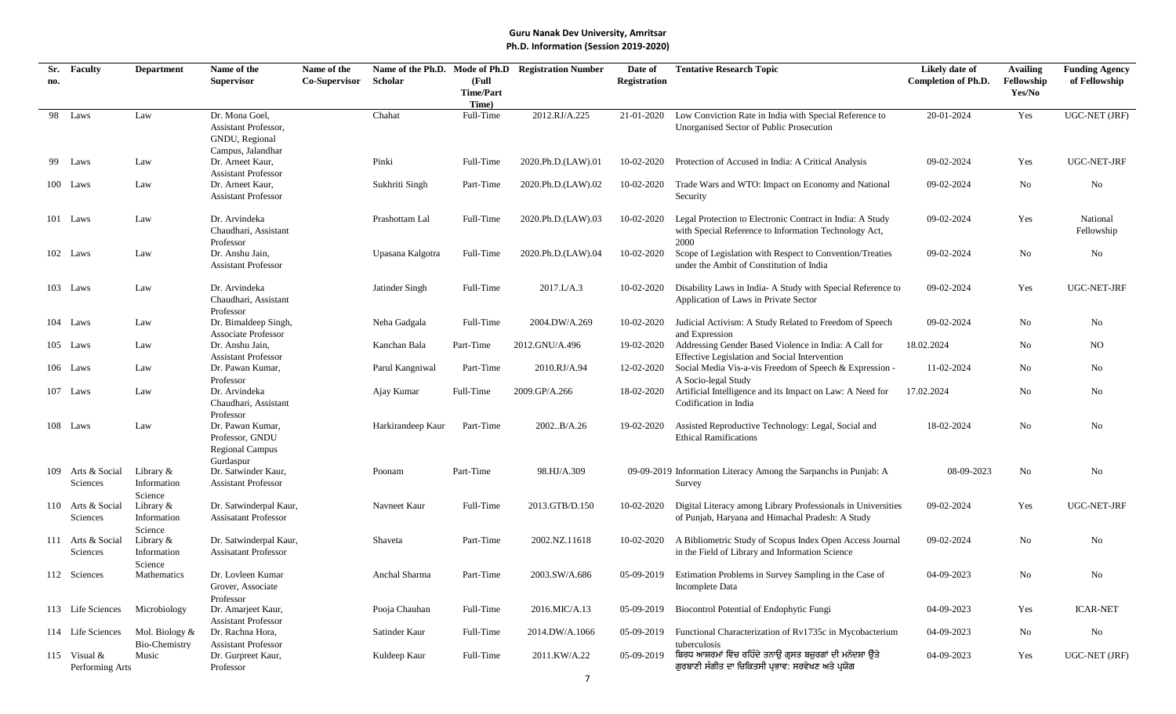| Sr. | <b>Faculty</b>    | <b>Department</b>      | Name of the                                    | Name of the          |                   |                           | Name of the Ph.D. Mode of Ph.D Registration Number | Date of             | <b>Tentative Research Topic</b>                                                                          | Likely date of             | <b>Availing</b> | <b>Funding Agency</b> |
|-----|-------------------|------------------------|------------------------------------------------|----------------------|-------------------|---------------------------|----------------------------------------------------|---------------------|----------------------------------------------------------------------------------------------------------|----------------------------|-----------------|-----------------------|
| no. |                   |                        | <b>Supervisor</b>                              | <b>Co-Supervisor</b> | Scholar           | (Full                     |                                                    | <b>Registration</b> |                                                                                                          | <b>Completion of Ph.D.</b> | Fellowship      | of Fellowship         |
|     |                   |                        |                                                |                      |                   | <b>Time/Part</b><br>Time) |                                                    |                     |                                                                                                          |                            | Yes/No          |                       |
| 98  | Laws              | Law                    | Dr. Mona Goel,                                 |                      | Chahat            | Full-Time                 | 2012.RJ/A.225                                      | 21-01-2020          | Low Conviction Rate in India with Special Reference to                                                   | 20-01-2024                 | Yes             | <b>UGC-NET (JRF)</b>  |
|     |                   |                        | Assistant Professor,                           |                      |                   |                           |                                                    |                     | Unorganised Sector of Public Prosecution                                                                 |                            |                 |                       |
|     |                   |                        | GNDU, Regional                                 |                      |                   |                           |                                                    |                     |                                                                                                          |                            |                 |                       |
|     |                   |                        | Campus, Jalandhar                              |                      |                   |                           |                                                    |                     |                                                                                                          |                            |                 |                       |
|     | 99 Laws           | Law                    | Dr. Arneet Kaur,                               |                      | Pinki             | Full-Time                 | 2020.Ph.D.(LAW).01                                 | 10-02-2020          | Protection of Accused in India: A Critical Analysis                                                      | 09-02-2024                 | Yes             | UGC-NET-JRF           |
|     | 100 Laws          | Law                    | <b>Assistant Professor</b><br>Dr. Arneet Kaur, |                      | Sukhriti Singh    | Part-Time                 | 2020.Ph.D.(LAW).02                                 | 10-02-2020          | Trade Wars and WTO: Impact on Economy and National                                                       | 09-02-2024                 | No              | No                    |
|     |                   |                        | <b>Assistant Professor</b>                     |                      |                   |                           |                                                    |                     | Security                                                                                                 |                            |                 |                       |
|     |                   |                        |                                                |                      |                   |                           |                                                    |                     |                                                                                                          |                            |                 |                       |
|     | 101 Laws          | Law                    | Dr. Arvindeka                                  |                      | Prashottam Lal    | Full-Time                 | 2020.Ph.D.(LAW).03                                 | 10-02-2020          | Legal Protection to Electronic Contract in India: A Study                                                | 09-02-2024                 | Yes             | National              |
|     |                   |                        | Chaudhari, Assistant                           |                      |                   |                           |                                                    |                     | with Special Reference to Information Technology Act,                                                    |                            |                 | Fellowship            |
|     |                   |                        | Professor                                      |                      |                   |                           |                                                    |                     | 2000                                                                                                     |                            |                 |                       |
|     | 102 Laws          | Law                    | Dr. Anshu Jain,                                |                      | Upasana Kalgotra  | Full-Time                 | 2020.Ph.D.(LAW).04                                 | 10-02-2020          | Scope of Legislation with Respect to Convention/Treaties                                                 | 09-02-2024                 | No              | No                    |
|     |                   |                        | <b>Assistant Professor</b>                     |                      |                   |                           |                                                    |                     | under the Ambit of Constitution of India                                                                 |                            |                 |                       |
|     | 103 Laws          | Law                    | Dr. Arvindeka                                  |                      | Jatinder Singh    | Full-Time                 | 2017.L/A.3                                         | 10-02-2020          | Disability Laws in India- A Study with Special Reference to                                              | 09-02-2024                 | Yes             | UGC-NET-JRF           |
|     |                   |                        | Chaudhari, Assistant                           |                      |                   |                           |                                                    |                     | Application of Laws in Private Sector                                                                    |                            |                 |                       |
|     |                   |                        | Professor                                      |                      |                   |                           |                                                    |                     |                                                                                                          |                            |                 |                       |
|     | 104 Laws          | Law                    | Dr. Bimaldeep Singh,                           |                      | Neha Gadgala      | Full-Time                 | 2004.DW/A.269                                      | 10-02-2020          | Judicial Activism: A Study Related to Freedom of Speech                                                  | 09-02-2024                 | No              | No                    |
|     |                   |                        | <b>Associate Professor</b>                     |                      |                   |                           |                                                    |                     | and Expression                                                                                           |                            |                 |                       |
|     | 105 Laws          | Law                    | Dr. Anshu Jain,                                |                      | Kanchan Bala      | Part-Time                 | 2012.GNU/A.496                                     | 19-02-2020          | Addressing Gender Based Violence in India: A Call for                                                    | 18.02.2024                 | No              | NO                    |
|     | 106 Laws          | Law                    | <b>Assistant Professor</b><br>Dr. Pawan Kumar, |                      | Parul Kangniwal   | Part-Time                 | 2010.RJ/A.94                                       | 12-02-2020          | Effective Legislation and Social Intervention<br>Social Media Vis-a-vis Freedom of Speech & Expression - | 11-02-2024                 | No              | No                    |
|     |                   |                        | Professor                                      |                      |                   |                           |                                                    |                     | A Socio-legal Study                                                                                      |                            |                 |                       |
|     | 107 Laws          | Law                    | Dr. Arvindeka                                  |                      | Ajay Kumar        | Full-Time                 | 2009.GP/A.266                                      | 18-02-2020          | Artificial Intelligence and its Impact on Law: A Need for                                                | 17.02.2024                 | No              | No                    |
|     |                   |                        | Chaudhari, Assistant                           |                      |                   |                           |                                                    |                     | Codification in India                                                                                    |                            |                 |                       |
|     |                   |                        | Professor                                      |                      |                   |                           |                                                    |                     |                                                                                                          |                            |                 |                       |
|     | 108 Laws          | Law                    | Dr. Pawan Kumar,                               |                      | Harkirandeep Kaur | Part-Time                 | 2002B/A.26                                         | 19-02-2020          | Assisted Reproductive Technology: Legal, Social and                                                      | 18-02-2024                 | No              | No                    |
|     |                   |                        | Professor, GNDU                                |                      |                   |                           |                                                    |                     | <b>Ethical Ramifications</b>                                                                             |                            |                 |                       |
|     |                   |                        | <b>Regional Campus</b><br>Gurdaspur            |                      |                   |                           |                                                    |                     |                                                                                                          |                            |                 |                       |
|     | 109 Arts & Social | Library &              | Dr. Satwinder Kaur,                            |                      | Poonam            | Part-Time                 | 98.HJ/A.309                                        |                     | 09-09-2019 Information Literacy Among the Sarpanchs in Punjab: A                                         | 08-09-2023                 | No              | No                    |
|     | Sciences          | Information            | <b>Assistant Professor</b>                     |                      |                   |                           |                                                    |                     | Survey                                                                                                   |                            |                 |                       |
|     |                   | Science                |                                                |                      |                   |                           |                                                    |                     |                                                                                                          |                            |                 |                       |
|     | 110 Arts & Social | Library $\&$           | Dr. Satwinderpal Kaur,                         |                      | Navneet Kaur      | Full-Time                 | 2013.GTB/D.150                                     | 10-02-2020          | Digital Literacy among Library Professionals in Universities                                             | 09-02-2024                 | Yes             | UGC-NET-JRF           |
|     | Sciences          | Information            | <b>Assisatant Professor</b>                    |                      |                   |                           |                                                    |                     | of Punjab, Haryana and Himachal Pradesh: A Study                                                         |                            |                 |                       |
|     | 111 Arts & Social | Science<br>Library $&$ | Dr. Satwinderpal Kaur,                         |                      | Shaveta           | Part-Time                 | 2002.NZ.11618                                      | 10-02-2020          | A Bibliometric Study of Scopus Index Open Access Journal                                                 | 09-02-2024                 | No              | No                    |
|     | Sciences          | Information            | <b>Assisatant Professor</b>                    |                      |                   |                           |                                                    |                     | in the Field of Library and Information Science                                                          |                            |                 |                       |
|     |                   | Science                |                                                |                      |                   |                           |                                                    |                     |                                                                                                          |                            |                 |                       |
|     | 112 Sciences      | Mathematics            | Dr. Lovleen Kumar                              |                      | Anchal Sharma     | Part-Time                 | 2003.SW/A.686                                      | 05-09-2019          | Estimation Problems in Survey Sampling in the Case of                                                    | 04-09-2023                 | No              | No                    |
|     |                   |                        | Grover, Associate                              |                      |                   |                           |                                                    |                     | Incomplete Data                                                                                          |                            |                 |                       |
|     |                   |                        | Professor                                      |                      |                   |                           |                                                    |                     |                                                                                                          |                            |                 |                       |
|     | 113 Life Sciences | Microbiology           | Dr. Amarjeet Kaur,                             |                      | Pooja Chauhan     | Full-Time                 | 2016.MIC/A.13                                      | 05-09-2019          | Biocontrol Potential of Endophytic Fungi                                                                 | 04-09-2023                 | Yes             | <b>ICAR-NET</b>       |
|     | 114 Life Sciences | Mol. Biology &         | <b>Assistant Professor</b><br>Dr. Rachna Hora, |                      | Satinder Kaur     | Full-Time                 | 2014.DW/A.1066                                     | 05-09-2019          | Functional Characterization of Rv1735c in Mycobacterium                                                  | 04-09-2023                 | No              | No                    |
|     |                   | Bio-Chemistry          | <b>Assistant Professor</b>                     |                      |                   |                           |                                                    |                     | tuberculosis                                                                                             |                            |                 |                       |
|     | 115 Visual $&$    | Music                  | Dr. Gurpreet Kaur,                             |                      | Kuldeep Kaur      | Full-Time                 | 2011.KW/A.22                                       | 05-09-2019          | ਬਿਰਧ ਆਸ਼ਰਮਾਂ ਵਿੱਚ ਰਹਿੰਦੇ ਤਨਾਉ ਗ੍ਰਸਤ ਬਜ਼ੁਰਗਾਂ ਦੀ ਮਨੋਦਸ਼ਾ ਉਤੇ                                              | 04-09-2023                 | Yes             | UGC-NET (JRF)         |
|     | Performing Arts   |                        | Professor                                      |                      |                   |                           |                                                    |                     | ਗੁਰਬਾਣੀ ਸੰਗੀਤ ਦਾ ਚਿਕਿਤਸੀ ਪ੍ਰਭਾਵ: ਸਰਵੇਖਣ ਅਤੇ ਪ੍ਰਯੋਗ                                                       |                            |                 |                       |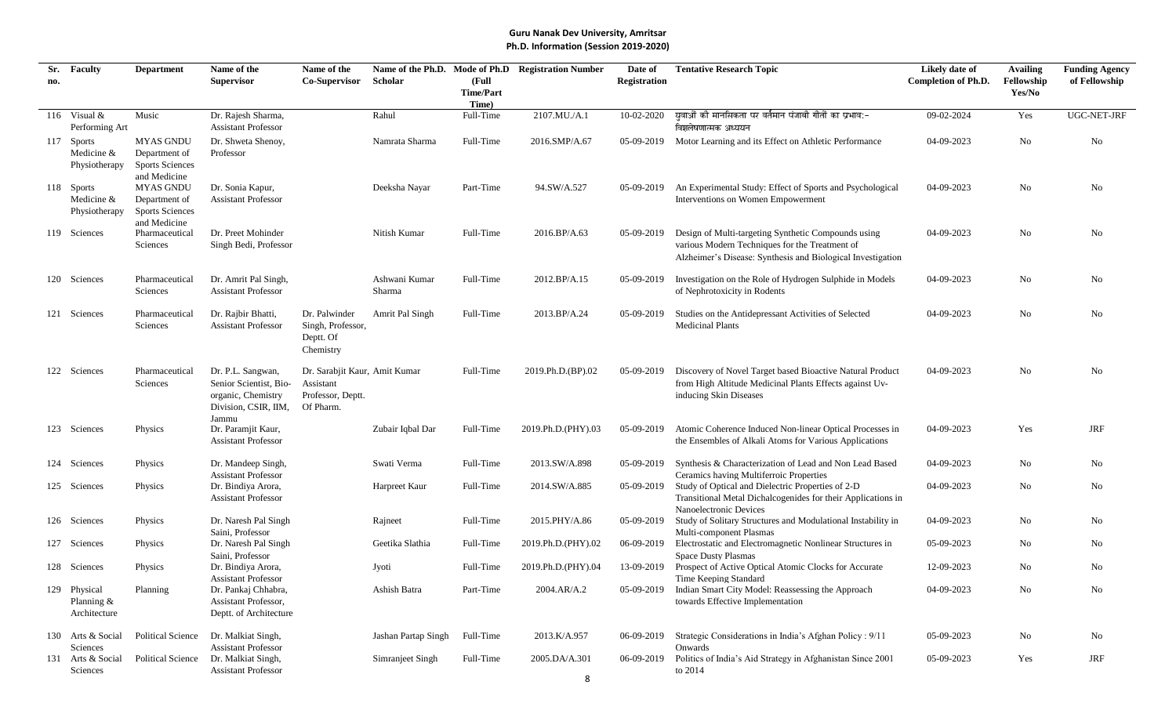| Sr. | <b>Faculty</b>                               | <b>Department</b>                                                           | Name of the                                                                                        | Name of the                                                                  |                         |                           | Name of the Ph.D. Mode of Ph.D Registration Number | Date of      | <b>Tentative Research Topic</b>                                                                                                                                      | Likely date of             | <b>Availing</b>      | <b>Funding Agency</b> |
|-----|----------------------------------------------|-----------------------------------------------------------------------------|----------------------------------------------------------------------------------------------------|------------------------------------------------------------------------------|-------------------------|---------------------------|----------------------------------------------------|--------------|----------------------------------------------------------------------------------------------------------------------------------------------------------------------|----------------------------|----------------------|-----------------------|
| no. |                                              |                                                                             | <b>Supervisor</b>                                                                                  | <b>Co-Supervisor</b>                                                         | Scholar                 | (Full<br><b>Time/Part</b> |                                                    | Registration |                                                                                                                                                                      | <b>Completion of Ph.D.</b> | Fellowship<br>Yes/No | of Fellowship         |
|     |                                              |                                                                             |                                                                                                    |                                                                              |                         | Time)                     |                                                    |              |                                                                                                                                                                      |                            |                      |                       |
|     | 116 Visual $&$<br>Performing Art             | Music                                                                       | Dr. Rajesh Sharma,<br><b>Assistant Professor</b>                                                   |                                                                              | Rahul                   | Full-Time                 | 2107.MU./A.1                                       | 10-02-2020   | ्यवाओं की मानसिकता पर वर्तमान पंजाबी गीतों का प्रभाव:-<br>विशलेषणात्मक अध्ययन                                                                                        | 09-02-2024                 | Yes                  | UGC-NET-JRF           |
|     | 117 Sports<br>Medicine &<br>Physiotherapy    | <b>MYAS GNDU</b><br>Department of<br><b>Sports Sciences</b><br>and Medicine | Dr. Shweta Shenoy,<br>Professor                                                                    |                                                                              | Namrata Sharma          | Full-Time                 | 2016.SMP/A.67                                      | 05-09-2019   | Motor Learning and its Effect on Athletic Performance                                                                                                                | 04-09-2023                 | No                   | No                    |
|     | 118 Sports<br>Medicine &<br>Physiotherapy    | <b>MYAS GNDU</b><br>Department of<br><b>Sports Sciences</b><br>and Medicine | Dr. Sonia Kapur,<br><b>Assistant Professor</b>                                                     |                                                                              | Deeksha Nayar           | Part-Time                 | 94.SW/A.527                                        | 05-09-2019   | An Experimental Study: Effect of Sports and Psychological<br>Interventions on Women Empowerment                                                                      | 04-09-2023                 | No                   | No                    |
|     | 119 Sciences                                 | Pharmaceutical<br>Sciences                                                  | Dr. Preet Mohinder<br>Singh Bedi, Professor                                                        |                                                                              | Nitish Kumar            | Full-Time                 | 2016.BP/A.63                                       | 05-09-2019   | Design of Multi-targeting Synthetic Compounds using<br>various Modern Techniques for the Treatment of<br>Alzheimer's Disease: Synthesis and Biological Investigation | 04-09-2023                 | No                   | No                    |
|     | 120 Sciences                                 | Pharmaceutical<br>Sciences                                                  | Dr. Amrit Pal Singh,<br><b>Assistant Professor</b>                                                 |                                                                              | Ashwani Kumar<br>Sharma | Full-Time                 | 2012.BP/A.15                                       | 05-09-2019   | Investigation on the Role of Hydrogen Sulphide in Models<br>of Nephrotoxicity in Rodents                                                                             | 04-09-2023                 | No                   | No                    |
|     | 121 Sciences                                 | Pharmaceutical<br>Sciences                                                  | Dr. Rajbir Bhatti,<br><b>Assistant Professor</b>                                                   | Dr. Palwinder<br>Singh, Professor,<br>Deptt. Of<br>Chemistry                 | Amrit Pal Singh         | Full-Time                 | 2013.BP/A.24                                       | 05-09-2019   | Studies on the Antidepressant Activities of Selected<br><b>Medicinal Plants</b>                                                                                      | 04-09-2023                 | No                   | No                    |
|     | 122 Sciences                                 | Pharmaceutical<br>Sciences                                                  | Dr. P.L. Sangwan,<br>Senior Scientist, Bio-<br>organic, Chemistry<br>Division, CSIR, IIM,<br>Jammu | Dr. Sarabjit Kaur, Amit Kumar<br>Assistant<br>Professor, Deptt.<br>Of Pharm. |                         | Full-Time                 | 2019.Ph.D.(BP).02                                  | 05-09-2019   | Discovery of Novel Target based Bioactive Natural Product<br>from High Altitude Medicinal Plants Effects against Uv-<br>inducing Skin Diseases                       | 04-09-2023                 | No                   | No                    |
|     | 123 Sciences                                 | Physics                                                                     | Dr. Paramjit Kaur,<br><b>Assistant Professor</b>                                                   |                                                                              | Zubair Iqbal Dar        | Full-Time                 | 2019.Ph.D.(PHY).03                                 | 05-09-2019   | Atomic Coherence Induced Non-linear Optical Processes in<br>the Ensembles of Alkali Atoms for Various Applications                                                   | 04-09-2023                 | Yes                  | <b>JRF</b>            |
|     | 124 Sciences                                 | Physics                                                                     | Dr. Mandeep Singh,<br><b>Assistant Professor</b>                                                   |                                                                              | Swati Verma             | Full-Time                 | 2013.SW/A.898                                      | 05-09-2019   | Synthesis & Characterization of Lead and Non Lead Based<br>Ceramics having Multiferroic Properties                                                                   | 04-09-2023                 | No                   | No                    |
|     | 125 Sciences                                 | Physics                                                                     | Dr. Bindiya Arora,<br><b>Assistant Professor</b>                                                   |                                                                              | Harpreet Kaur           | Full-Time                 | 2014.SW/A.885                                      | 05-09-2019   | Study of Optical and Dielectric Properties of 2-D<br>Transitional Metal Dichalcogenides for their Applications in<br>Nanoelectronic Devices                          | 04-09-2023                 | No                   | No                    |
|     | 126 Sciences                                 | Physics                                                                     | Dr. Naresh Pal Singh<br>Saini, Professor                                                           |                                                                              | Rajneet                 | Full-Time                 | 2015.PHY/A.86                                      | 05-09-2019   | Study of Solitary Structures and Modulational Instability in<br>Multi-component Plasmas                                                                              | 04-09-2023                 | No                   | No                    |
|     | 127 Sciences                                 | Physics                                                                     | Dr. Naresh Pal Singh<br>Saini, Professor                                                           |                                                                              | Geetika Slathia         | Full-Time                 | 2019.Ph.D.(PHY).02                                 | 06-09-2019   | Electrostatic and Electromagnetic Nonlinear Structures in<br><b>Space Dusty Plasmas</b>                                                                              | 05-09-2023                 | No                   | No                    |
|     | 128 Sciences                                 | Physics                                                                     | Dr. Bindiya Arora,<br><b>Assistant Professor</b>                                                   |                                                                              | Jyoti                   | Full-Time                 | 2019.Ph.D.(PHY).04                                 | 13-09-2019   | Prospect of Active Optical Atomic Clocks for Accurate<br>Time Keeping Standard                                                                                       | 12-09-2023                 | No                   | No                    |
|     | 129 Physical<br>Planning $&$<br>Architecture | Planning                                                                    | Dr. Pankaj Chhabra,<br>Assistant Professor,<br>Deptt. of Architecture                              |                                                                              | Ashish Batra            | Part-Time                 | 2004.AR/A.2                                        |              | 05-09-2019 Indian Smart City Model: Reassessing the Approach<br>towards Effective Implementation                                                                     | 04-09-2023                 | No                   | No                    |
|     | 130 Arts & Social<br>Sciences                | Political Science                                                           | Dr. Malkiat Singh,<br><b>Assistant Professor</b>                                                   |                                                                              | Jashan Partap Singh     | Full-Time                 | 2013.K/A.957                                       | 06-09-2019   | Strategic Considerations in India's Afghan Policy: 9/11<br>Onwards                                                                                                   | 05-09-2023                 | No                   | No                    |
|     | 131 Arts & Social<br>Sciences                | Political Science                                                           | Dr. Malkiat Singh,<br><b>Assistant Professor</b>                                                   |                                                                              | Simranjeet Singh        | Full-Time                 | 2005.DA/A.301<br>$\circ$                           | 06-09-2019   | Politics of India's Aid Strategy in Afghanistan Since 2001<br>to 2014                                                                                                | 05-09-2023                 | Yes                  | JRF                   |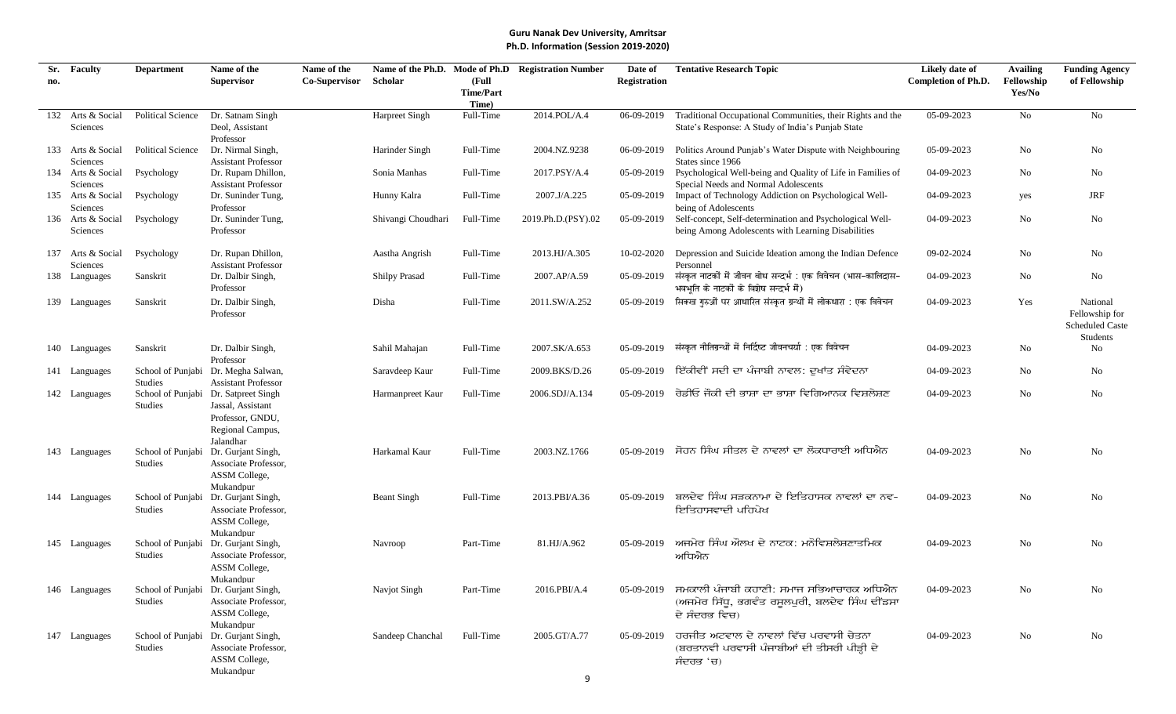| Sr. | <b>Faculty</b>    | <b>Department</b>            | Name of the                                      | Name of the   |                      |                  | Name of the Ph.D. Mode of Ph.D Registration Number | Date of             | <b>Tentative Research Topic</b>                                 | Likely date of             | <b>Availing</b> | <b>Funding Agency</b>  |
|-----|-------------------|------------------------------|--------------------------------------------------|---------------|----------------------|------------------|----------------------------------------------------|---------------------|-----------------------------------------------------------------|----------------------------|-----------------|------------------------|
| no. |                   |                              | <b>Supervisor</b>                                | Co-Supervisor | Scholar              | (Full            |                                                    | <b>Registration</b> |                                                                 | <b>Completion of Ph.D.</b> | Fellowship      | of Fellowship          |
|     |                   |                              |                                                  |               |                      | <b>Time/Part</b> |                                                    |                     |                                                                 |                            | Yes/No          |                        |
|     |                   |                              |                                                  |               |                      | Time)            |                                                    |                     |                                                                 | 05-09-2023                 | No              | No                     |
|     | 132 Arts & Social | <b>Political Science</b>     | Dr. Satnam Singh                                 |               | Harpreet Singh       | Full-Time        | 2014.POL/A.4                                       | 06-09-2019          | Traditional Occupational Communities, their Rights and the      |                            |                 |                        |
|     | Sciences          |                              | Deol, Assistant                                  |               |                      |                  |                                                    |                     | State's Response: A Study of India's Punjab State               |                            |                 |                        |
|     | 133 Arts & Social | Political Science            | Professor<br>Dr. Nirmal Singh,                   |               | Harinder Singh       | Full-Time        | 2004.NZ.9238                                       | 06-09-2019          | Politics Around Punjab's Water Dispute with Neighbouring        | 05-09-2023                 | $\rm No$        | No                     |
|     | Sciences          |                              | <b>Assistant Professor</b>                       |               |                      |                  |                                                    |                     | States since 1966                                               |                            |                 |                        |
|     | 134 Arts & Social | Psychology                   | Dr. Rupam Dhillon,                               |               | Sonia Manhas         | Full-Time        | 2017.PSY/A.4                                       | 05-09-2019          | Psychological Well-being and Quality of Life in Families of     | 04-09-2023                 | No              | No                     |
|     | Sciences          |                              | <b>Assistant Professor</b>                       |               |                      |                  |                                                    |                     | Special Needs and Normal Adolescents                            |                            |                 |                        |
|     | 135 Arts & Social | Psychology                   | Dr. Suninder Tung,                               |               | Hunny Kalra          | Full-Time        | 2007.J/A.225                                       | 05-09-2019          | Impact of Technology Addiction on Psychological Well-           | 04-09-2023                 | yes             | JRF                    |
|     | Sciences          |                              | Professor                                        |               |                      |                  |                                                    |                     | being of Adolescents                                            |                            |                 |                        |
|     | 136 Arts & Social | Psychology                   | Dr. Suninder Tung,                               |               | Shivangi Choudhari   | Full-Time        | 2019.Ph.D.(PSY).02                                 | 05-09-2019          | Self-concept, Self-determination and Psychological Well-        | 04-09-2023                 | No              | No                     |
|     | Sciences          |                              | Professor                                        |               |                      |                  |                                                    |                     | being Among Adolescents with Learning Disabilities              |                            |                 |                        |
|     |                   |                              |                                                  |               |                      |                  |                                                    |                     |                                                                 |                            |                 |                        |
|     | 137 Arts & Social | Psychology                   | Dr. Rupan Dhillon,                               |               | Aastha Angrish       | Full-Time        | 2013.HJ/A.305                                      | 10-02-2020          | Depression and Suicide Ideation among the Indian Defence        | 09-02-2024                 | $\rm No$        | No                     |
|     | Sciences          |                              | <b>Assistant Professor</b>                       |               |                      |                  |                                                    |                     | Personnel                                                       |                            |                 |                        |
|     | 138 Languages     | Sanskrit                     | Dr. Dalbir Singh,                                |               | <b>Shilpy Prasad</b> | Full-Time        | 2007.AP/A.59                                       | 05-09-2019          | संस्कृत नाटकों में जीवन बोध सन्दर्भ : एक विवेचन (भास-कालिदास-   | 04-09-2023                 | $\rm No$        | No                     |
|     |                   |                              | Professor                                        |               |                      |                  |                                                    |                     | भवभति के नाटकों के विशेष सन्दर्भ में)                           |                            |                 |                        |
|     | 139 Languages     | Sanskrit                     | Dr. Dalbir Singh,                                |               | Disha                | Full-Time        | 2011.SW/A.252                                      | 05-09-2019          | सिक्ख गुरुओं पर आधारित संस्कृत ग्रन्थों में लोकधारा : एक विवेचन | 04-09-2023                 | Yes             | National               |
|     |                   |                              | Professor                                        |               |                      |                  |                                                    |                     |                                                                 |                            |                 | Fellowship for         |
|     |                   |                              |                                                  |               |                      |                  |                                                    |                     |                                                                 |                            |                 | <b>Scheduled Caste</b> |
|     |                   |                              |                                                  |               |                      |                  |                                                    |                     | संस्कत नीतिग्रन्थों में निर्दिष्ट जीवनचर्या : एक विवेचन         |                            |                 | Students               |
|     | 140 Languages     | Sanskrit                     | Dr. Dalbir Singh,                                |               | Sahil Mahajan        | Full-Time        | 2007.SK/A.653                                      | 05-09-2019          |                                                                 | 04-09-2023                 | $\rm No$        | No                     |
|     | 141 Languages     |                              | Professor<br>School of Punjabi Dr. Megha Salwan, |               | Saravdeep Kaur       | Full-Time        | 2009.BKS/D.26                                      | 05-09-2019          | ਇੱਕੀਵੀਂ ਸਦੀ ਦਾ ਪੰਜਾਬੀ ਨਾਵਲ: ਦੁਖਾਂਤ ਸੰਵੇਦਨਾ                      | 04-09-2023                 | No              | No                     |
|     |                   | <b>Studies</b>               | <b>Assistant Professor</b>                       |               |                      |                  |                                                    |                     |                                                                 |                            |                 |                        |
|     | 142 Languages     |                              | School of Punjabi Dr. Satpreet Singh             |               | Harmanpreet Kaur     | Full-Time        | 2006.SDJ/A.134                                     | $0.5 - 0.9 - 2019$  | ਰੇਡੀਓ ਜੋਕੀ ਦੀ ਭਾਸ਼ਾ ਦਾ ਭਾਸ਼ਾ ਵਿਗਿਆਨਕ ਵਿਸ਼ਲੇਸ਼ਣ                  | 04-09-2023                 | No              | No                     |
|     |                   | <b>Studies</b>               | Jassal, Assistant                                |               |                      |                  |                                                    |                     |                                                                 |                            |                 |                        |
|     |                   |                              | Professor, GNDU,                                 |               |                      |                  |                                                    |                     |                                                                 |                            |                 |                        |
|     |                   |                              | Regional Campus,                                 |               |                      |                  |                                                    |                     |                                                                 |                            |                 |                        |
|     |                   |                              | Jalandhar                                        |               |                      |                  |                                                    |                     |                                                                 |                            |                 |                        |
|     | 143 Languages     | School of Punjabi            | Dr. Gurjant Singh,                               |               | Harkamal Kaur        | Full-Time        | 2003.NZ.1766                                       | $0.5 - 0.9 - 2019$  | ਸੋਹਨ ਸਿੰਘ ਸੀਤਲ ਦੇ ਨਾਵਲਾਂ ਦਾ ਲੋਕਧਾਰਾਈ ਅਧਿਐਨ                      | 04-09-2023                 | No              | No                     |
|     |                   | <b>Studies</b>               | Associate Professor,                             |               |                      |                  |                                                    |                     |                                                                 |                            |                 |                        |
|     |                   |                              | ASSM College,                                    |               |                      |                  |                                                    |                     |                                                                 |                            |                 |                        |
|     |                   |                              | Mukandpur                                        |               |                      |                  |                                                    |                     |                                                                 |                            |                 |                        |
|     | 144 Languages     | School of Punjabi            | Dr. Gurjant Singh,                               |               | <b>Beant Singh</b>   | Full-Time        | 2013.PBI/A.36                                      | 05-09-2019          | ਬਲਦੇਵ ਸਿੰਘ ਸੜਕਨਾਮਾ ਦੇ ਇਤਿਹਾਸਕ ਨਾਵਲਾਂ ਦਾ ਨਵ-                     | 04-09-2023                 | No              | No                     |
|     |                   | <b>Studies</b>               | Associate Professor,                             |               |                      |                  |                                                    |                     | ਇਤਿਹਾਸਵਾਦੀ ਪਹਿਪੇਖ                                               |                            |                 |                        |
|     |                   |                              | ASSM College,                                    |               |                      |                  |                                                    |                     |                                                                 |                            |                 |                        |
|     |                   |                              | Mukandpur                                        |               |                      | Part-Time        | 81.HJ/A.962                                        | $0.5 - 0.9 - 2019$  | ਅਜਮੇਰ ਸਿੰਘ ਔਲਖ ਦੇ ਨਾਟਕ: ਮਨੋਵਿਸ਼ਲੇਸ਼ਣਾਤਮਿਕ                       | 04-09-2023                 | No              | No                     |
|     | 145 Languages     | School of Punjabi<br>Studies | Dr. Gurjant Singh,<br>Associate Professor,       |               | Navroop              |                  |                                                    |                     | ਅਧਿਐਨ                                                           |                            |                 |                        |
|     |                   |                              | ASSM College,                                    |               |                      |                  |                                                    |                     |                                                                 |                            |                 |                        |
|     |                   |                              | Mukandpur                                        |               |                      |                  |                                                    |                     |                                                                 |                            |                 |                        |
|     | 146 Languages     |                              | School of Punjabi Dr. Gurjant Singh,             |               | Navjot Singh         | Part-Time        | 2016.PBI/A.4                                       |                     | 05-09-2019 ਸਮਕਾਲੀ ਪੰਜਾਬੀ ਕਹਾਣੀ: ਸਮਾਜ ਸਭਿਆਚਾਰਕ ਅਧਿਐਨ             | 04-09-2023                 | No              | No                     |
|     |                   | Studies                      | Associate Professor,                             |               |                      |                  |                                                    |                     | (ਅਜਮੇਰ ਸਿੱਧੂ, ਭਗਵੰਤ ਰਸੁਲਪੁਰੀ, ਬਲਦੇਵ ਸਿੰਘ ਢੀਂਡਸਾ                 |                            |                 |                        |
|     |                   |                              | ASSM College,                                    |               |                      |                  |                                                    |                     | ਦੇ ਸੰਦਰਭ ਵਿਚ)                                                   |                            |                 |                        |
|     |                   |                              | Mukandpur                                        |               |                      |                  |                                                    |                     |                                                                 |                            |                 |                        |
|     | 147 Languages     |                              | School of Punjabi Dr. Gurjant Singh,             |               | Sandeep Chanchal     | Full-Time        | 2005.GT/A.77                                       |                     | 05-09-2019 ਹਰਜੀਤ ਅਟਵਾਲ ਦੇ ਨਾਵਲਾਂ ਵਿੱਚ ਪਰਵਾਸੀ ਚੇਤਨਾ              | 04-09-2023                 | No              | No                     |
|     |                   | Studies                      | Associate Professor,                             |               |                      |                  |                                                    |                     | (ਬਰਤਾਨਵੀ ਪਰਵਾਸੀ ਪੰਜਾਬੀਆਂ ਦੀ ਤੀਸਰੀ ਪੀੜ੍ਹੀ ਦੇ                     |                            |                 |                        |
|     |                   |                              | ASSM College,                                    |               |                      |                  |                                                    |                     | ਸੰਦਰਭ 'ਚ)                                                       |                            |                 |                        |
|     |                   |                              | Mukandpur                                        |               |                      |                  |                                                    |                     |                                                                 |                            |                 |                        |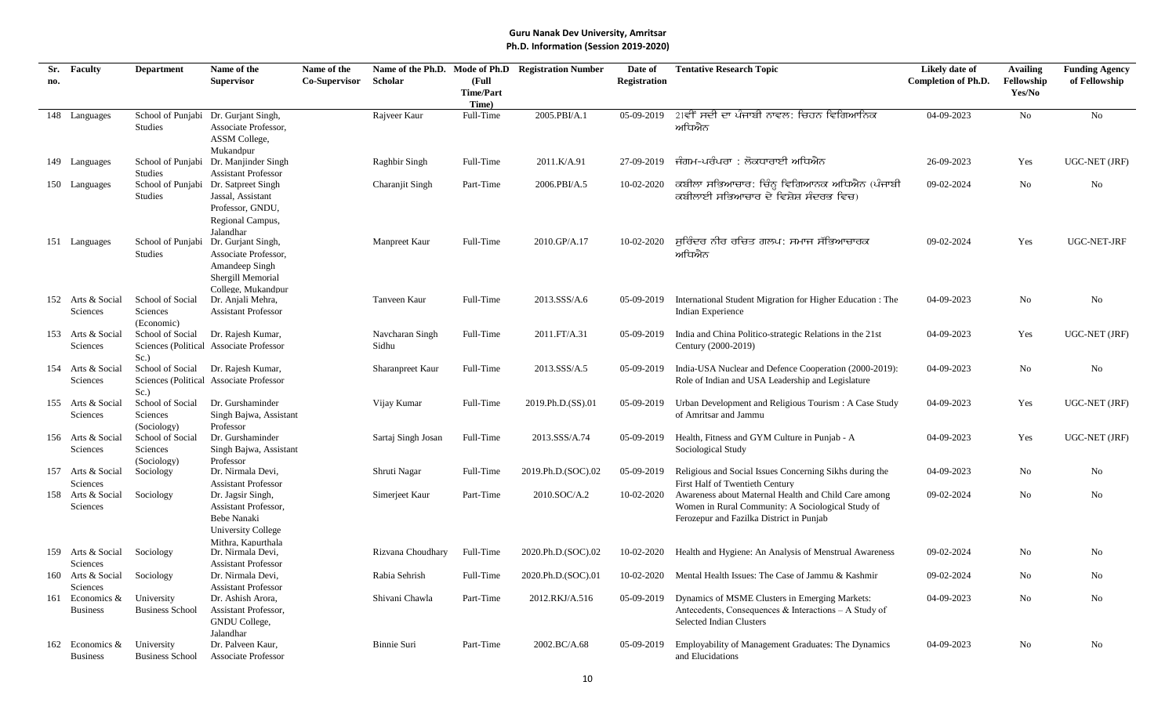| Sr. | Faculty                       | <b>Department</b>                   | Name of the                                | Name of the   |                    |                  | Name of the Ph.D. Mode of Ph.D Registration Number | Date of             | <b>Tentative Research Topic</b>                                                                           | Likely date of             | <b>Availing</b> | <b>Funding Agency</b> |
|-----|-------------------------------|-------------------------------------|--------------------------------------------|---------------|--------------------|------------------|----------------------------------------------------|---------------------|-----------------------------------------------------------------------------------------------------------|----------------------------|-----------------|-----------------------|
| no. |                               |                                     | <b>Supervisor</b>                          | Co-Supervisor | Scholar            | (Full            |                                                    | <b>Registration</b> |                                                                                                           | <b>Completion of Ph.D.</b> | Fellowship      | of Fellowship         |
|     |                               |                                     |                                            |               |                    | <b>Time/Part</b> |                                                    |                     |                                                                                                           |                            | Yes/No          |                       |
|     |                               |                                     |                                            |               |                    | Time)            |                                                    | 05-09-2019          | 2।ਵੀਂ ਸਦੀ ਦਾ ਪੰਜਾਬੀ ਨਾਵਲ: ਚਿਹਨ ਵਿਗਿਆਨਿਕ                                                                   | 04-09-2023                 | No              | No                    |
|     | 148 Languages                 | School of Punjabi<br><b>Studies</b> | Dr. Gurjant Singh,<br>Associate Professor. |               | Rajveer Kaur       | Full-Time        | 2005.PBI/A.1                                       |                     | ਅਧਿਐਨ                                                                                                     |                            |                 |                       |
|     |                               |                                     | ASSM College,                              |               |                    |                  |                                                    |                     |                                                                                                           |                            |                 |                       |
|     |                               |                                     | Mukandpur                                  |               |                    |                  |                                                    |                     |                                                                                                           |                            |                 |                       |
|     | 149 Languages                 |                                     | School of Punjabi Dr. Manjinder Singh      |               | Raghbir Singh      | Full-Time        | 2011.K/A.91                                        | 27-09-2019          | ਜੰਗਮ-ਪਰੰਪਰਾ : ਲੋਕਧਾਰਾਈ ਅਧਿਐਨ                                                                              | 26-09-2023                 | Yes             | UGC-NET (JRF)         |
|     |                               | <b>Studies</b>                      | <b>Assistant Professor</b>                 |               |                    |                  |                                                    |                     |                                                                                                           |                            |                 |                       |
|     | 150 Languages                 | School of Punjabi                   | Dr. Satpreet Singh                         |               | Charanjit Singh    | Part-Time        | 2006.PBI/A.5                                       | 10-02-2020          | ਕਬੀਲਾ ਸਭਿਆਚਾਰ: ਚਿੰਨ੍ਹ ਵਿਗਿਆਨਕ ਅਧਿਐਨ (ਪੰਜਾਬੀ                                                               | 09-02-2024                 | No              | No                    |
|     |                               | <b>Studies</b>                      | Jassal, Assistant                          |               |                    |                  |                                                    |                     | ਕਬੀਲਾਈ ਸਭਿਆਚਾਰ ਦੇ ਵਿਸ਼ੇਸ਼ ਸੰਦਰਭ ਵਿਚ)                                                                      |                            |                 |                       |
|     |                               |                                     | Professor, GNDU,                           |               |                    |                  |                                                    |                     |                                                                                                           |                            |                 |                       |
|     |                               |                                     | Regional Campus,                           |               |                    |                  |                                                    |                     |                                                                                                           |                            |                 |                       |
|     |                               |                                     | Jalandhar                                  |               |                    |                  |                                                    |                     |                                                                                                           |                            |                 |                       |
|     | 151 Languages                 |                                     | School of Punjabi Dr. Gurjant Singh,       |               | Manpreet Kaur      | Full-Time        | 2010.GP/A.17                                       | 10-02-2020          | ਸੁਰਿੰਦਰ ਨੀਰ ਰਚਿਤ ਗਲਪ: ਸਮਾਜ ਸੱਭਿਆਚਾਰਕ                                                                      | 09-02-2024                 | Yes             | UGC-NET-JRF           |
|     |                               | <b>Studies</b>                      | Associate Professor,                       |               |                    |                  |                                                    |                     | ਅਧਿਐਨ                                                                                                     |                            |                 |                       |
|     |                               |                                     | Amandeep Singh<br>Shergill Memorial        |               |                    |                  |                                                    |                     |                                                                                                           |                            |                 |                       |
|     |                               |                                     | College, Mukandpur                         |               |                    |                  |                                                    |                     |                                                                                                           |                            |                 |                       |
|     | 152 Arts & Social             | School of Social                    | Dr. Anjali Mehra,                          |               | Tanveen Kaur       | Full-Time        | 2013.SSS/A.6                                       |                     | 05-09-2019 International Student Migration for Higher Education : The                                     | 04-09-2023                 | No              | No                    |
|     | Sciences                      | Sciences                            | <b>Assistant Professor</b>                 |               |                    |                  |                                                    |                     | Indian Experience                                                                                         |                            |                 |                       |
|     |                               | (Economic)                          |                                            |               |                    |                  |                                                    |                     |                                                                                                           |                            |                 |                       |
|     | 153 Arts & Social             | School of Social                    | Dr. Rajesh Kumar,                          |               | Navcharan Singh    | Full-Time        | 2011.FT/A.31                                       | 05-09-2019          | India and China Politico-strategic Relations in the 21st                                                  | 04-09-2023                 | Yes             | UGC-NET (JRF)         |
|     | Sciences                      |                                     | Sciences (Political Associate Professor    |               | Sidhu              |                  |                                                    |                     | Century (2000-2019)                                                                                       |                            |                 |                       |
|     |                               | Sc.                                 |                                            |               |                    |                  |                                                    |                     |                                                                                                           |                            |                 |                       |
|     | 154 Arts & Social             | School of Social                    | Dr. Rajesh Kumar,                          |               | Sharanpreet Kaur   | Full-Time        | 2013.SSS/A.5                                       | 05-09-2019          | India-USA Nuclear and Defence Cooperation (2000-2019):                                                    | 04-09-2023                 | No              | No                    |
|     | Sciences                      | Sc.                                 | Sciences (Political Associate Professor    |               |                    |                  |                                                    |                     | Role of Indian and USA Leadership and Legislature                                                         |                            |                 |                       |
|     | 155 Arts & Social             | School of Social                    | Dr. Gurshaminder                           |               | Vijay Kumar        | Full-Time        | 2019.Ph.D.(SS).01                                  |                     | 05-09-2019 Urban Development and Religious Tourism : A Case Study                                         | 04-09-2023                 | Yes             | UGC-NET (JRF)         |
|     | Sciences                      | Sciences                            | Singh Bajwa, Assistant                     |               |                    |                  |                                                    |                     | of Amritsar and Jammu                                                                                     |                            |                 |                       |
|     |                               | (Sociology)                         | Professor                                  |               |                    |                  |                                                    |                     |                                                                                                           |                            |                 |                       |
|     | 156 Arts & Social             | School of Social                    | Dr. Gurshaminder                           |               | Sartaj Singh Josan | Full-Time        | 2013.SSS/A.74                                      |                     | 05-09-2019 Health, Fitness and GYM Culture in Punjab - A                                                  | 04-09-2023                 | Yes             | UGC-NET (JRF)         |
|     | Sciences                      | Sciences                            | Singh Bajwa, Assistant                     |               |                    |                  |                                                    |                     | Sociological Study                                                                                        |                            |                 |                       |
|     |                               | (Sociology)                         | Professor                                  |               |                    |                  |                                                    |                     |                                                                                                           |                            |                 |                       |
|     | 157 Arts & Social             | Sociology                           | Dr. Nirmala Devi,                          |               | Shruti Nagar       | Full-Time        | 2019.Ph.D.(SOC).02                                 | 05-09-2019          | Religious and Social Issues Concerning Sikhs during the                                                   | 04-09-2023                 | No              | No                    |
|     | Sciences<br>158 Arts & Social |                                     | <b>Assistant Professor</b>                 |               |                    | Part-Time        | 2010.SOC/A.2                                       |                     | First Half of Twentieth Century                                                                           | 09-02-2024                 | No              | No                    |
|     | Sciences                      | Sociology                           | Dr. Jagsir Singh,<br>Assistant Professor,  |               | Simerjeet Kaur     |                  |                                                    | 10-02-2020          | Awareness about Maternal Health and Child Care among<br>Women in Rural Community: A Sociological Study of |                            |                 |                       |
|     |                               |                                     | Bebe Nanaki                                |               |                    |                  |                                                    |                     | Ferozepur and Fazilka District in Punjab                                                                  |                            |                 |                       |
|     |                               |                                     | University College                         |               |                    |                  |                                                    |                     |                                                                                                           |                            |                 |                       |
|     |                               |                                     | Mithra, Kapurthala                         |               |                    |                  |                                                    |                     |                                                                                                           |                            |                 |                       |
|     | 159 Arts & Social             | Sociology                           | Dr. Nirmala Devi,                          |               | Rizvana Choudhary  | Full-Time        | 2020.Ph.D.(SOC).02                                 | 10-02-2020          | Health and Hygiene: An Analysis of Menstrual Awareness                                                    | 09-02-2024                 | No              | No                    |
|     | Sciences                      |                                     | <b>Assistant Professor</b>                 |               |                    |                  |                                                    |                     |                                                                                                           |                            |                 |                       |
|     | 160 Arts & Social             | Sociology                           | Dr. Nirmala Devi,                          |               | Rabia Sehrish      | Full-Time        | 2020.Ph.D.(SOC).01                                 | 10-02-2020          | Mental Health Issues: The Case of Jammu & Kashmir                                                         | 09-02-2024                 | No              | No                    |
|     | Sciences                      |                                     | <b>Assistant Professor</b>                 |               |                    |                  |                                                    |                     |                                                                                                           |                            |                 |                       |
| 161 | Economics &                   | University                          | Dr. Ashish Arora,                          |               | Shivani Chawla     | Part-Time        | 2012.RKJ/A.516                                     | 05-09-2019          | Dynamics of MSME Clusters in Emerging Markets:                                                            | 04-09-2023                 | No              | No                    |
|     | <b>Business</b>               | <b>Business School</b>              | Assistant Professor,                       |               |                    |                  |                                                    |                     | Antecedents, Consequences & Interactions - A Study of<br><b>Selected Indian Clusters</b>                  |                            |                 |                       |
|     |                               |                                     | GNDU College,                              |               |                    |                  |                                                    |                     |                                                                                                           |                            |                 |                       |
|     | 162 Economics &               | University                          | Jalandhar<br>Dr. Palveen Kaur,             |               | Binnie Suri        | Part-Time        | 2002.BC/A.68                                       | 05-09-2019          | Employability of Management Graduates: The Dynamics                                                       | 04-09-2023                 | No              | No                    |
|     | <b>Business</b>               | <b>Business School</b>              | <b>Associate Professor</b>                 |               |                    |                  |                                                    |                     | and Elucidations                                                                                          |                            |                 |                       |
|     |                               |                                     |                                            |               |                    |                  |                                                    |                     |                                                                                                           |                            |                 |                       |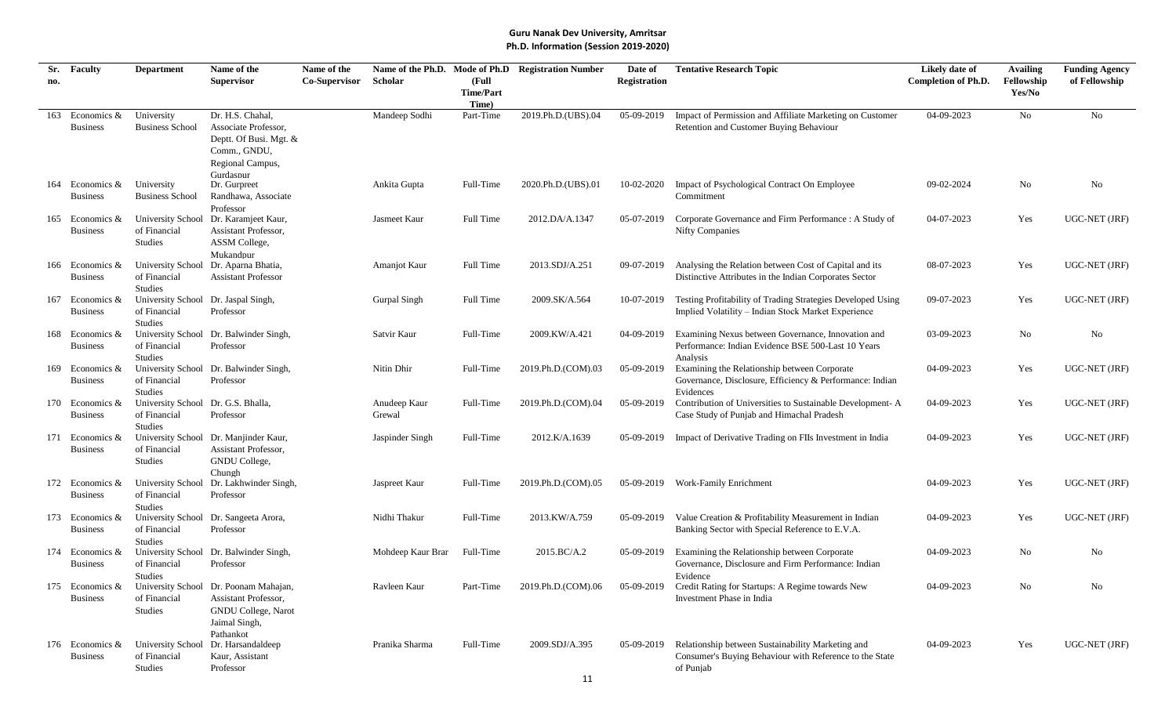| Sr. | Faculty                            | <b>Department</b>                          | Name of the                                 | Name of the          |                        |                    | Name of the Ph.D. Mode of Ph.D Registration Number | Date of             | <b>Tentative Research Topic</b>                                                                                    | Likely date of             | <b>Availing</b> | <b>Funding Agency</b> |
|-----|------------------------------------|--------------------------------------------|---------------------------------------------|----------------------|------------------------|--------------------|----------------------------------------------------|---------------------|--------------------------------------------------------------------------------------------------------------------|----------------------------|-----------------|-----------------------|
| no. |                                    |                                            | <b>Supervisor</b>                           | <b>Co-Supervisor</b> | Scholar                | (Full              |                                                    | <b>Registration</b> |                                                                                                                    | <b>Completion of Ph.D.</b> | Fellowship      | of Fellowship         |
|     |                                    |                                            |                                             |                      |                        | <b>Time/Part</b>   |                                                    |                     |                                                                                                                    |                            | Yes/No          |                       |
| 163 | Economics &                        | University                                 | Dr. H.S. Chahal,                            |                      | Mandeep Sodhi          | Time)<br>Part-Time | 2019.Ph.D.(UBS).04                                 | 05-09-2019          | Impact of Permission and Affiliate Marketing on Customer                                                           | 04-09-2023                 | No              | No                    |
|     | <b>Business</b>                    | <b>Business School</b>                     | Associate Professor,                        |                      |                        |                    |                                                    |                     | Retention and Customer Buying Behaviour                                                                            |                            |                 |                       |
|     |                                    |                                            | Deptt. Of Busi. Mgt. &                      |                      |                        |                    |                                                    |                     |                                                                                                                    |                            |                 |                       |
|     |                                    |                                            | Comm., GNDU,                                |                      |                        |                    |                                                    |                     |                                                                                                                    |                            |                 |                       |
|     |                                    |                                            | Regional Campus,                            |                      |                        |                    |                                                    |                     |                                                                                                                    |                            |                 |                       |
|     |                                    |                                            | Gurdaspur                                   |                      |                        |                    |                                                    |                     |                                                                                                                    |                            |                 |                       |
|     | 164 Economics &                    | University                                 | Dr. Gurpreet                                |                      | Ankita Gupta           | Full-Time          | 2020.Ph.D.(UBS).01                                 | 10-02-2020          | Impact of Psychological Contract On Employee                                                                       | 09-02-2024                 | No              | No                    |
|     | <b>Business</b>                    | <b>Business School</b>                     | Randhawa, Associate                         |                      |                        |                    |                                                    |                     | Commitment                                                                                                         |                            |                 |                       |
|     | 165 Economics &                    | University School                          | Professor<br>Dr. Karamjeet Kaur,            |                      | Jasmeet Kaur           | Full Time          | 2012.DA/A.1347                                     | 05-07-2019          | Corporate Governance and Firm Performance : A Study of                                                             | 04-07-2023                 | Yes             | UGC-NET (JRF)         |
|     | <b>Business</b>                    | of Financial                               | Assistant Professor,                        |                      |                        |                    |                                                    |                     | <b>Nifty Companies</b>                                                                                             |                            |                 |                       |
|     |                                    | Studies                                    | ASSM College,                               |                      |                        |                    |                                                    |                     |                                                                                                                    |                            |                 |                       |
|     |                                    |                                            | Mukandpur                                   |                      |                        |                    |                                                    |                     |                                                                                                                    |                            |                 |                       |
|     | 166 Economics &                    | University School                          | Dr. Aparna Bhatia,                          |                      | Amanjot Kaur           | Full Time          | 2013.SDJ/A.251                                     | 09-07-2019          | Analysing the Relation between Cost of Capital and its                                                             | 08-07-2023                 | Yes             | UGC-NET (JRF)         |
|     | <b>Business</b>                    | of Financial                               | <b>Assistant Professor</b>                  |                      |                        |                    |                                                    |                     | Distinctive Attributes in the Indian Corporates Sector                                                             |                            |                 |                       |
|     |                                    | Studies                                    |                                             |                      |                        |                    |                                                    |                     |                                                                                                                    |                            |                 |                       |
| 167 | Economics &<br><b>Business</b>     | <b>University School</b><br>of Financial   | Dr. Jaspal Singh,<br>Professor              |                      | Gurpal Singh           | Full Time          | 2009.SK/A.564                                      | 10-07-2019          | Testing Profitability of Trading Strategies Developed Using<br>Implied Volatility – Indian Stock Market Experience | 09-07-2023                 | Yes             | UGC-NET (JRF)         |
|     |                                    | <b>Studies</b>                             |                                             |                      |                        |                    |                                                    |                     |                                                                                                                    |                            |                 |                       |
|     | 168 Economics &                    | University School                          | Dr. Balwinder Singh,                        |                      | Satvir Kaur            | Full-Time          | 2009.KW/A.421                                      | 04-09-2019          | Examining Nexus between Governance, Innovation and                                                                 | 03-09-2023                 | No              | No                    |
|     | <b>Business</b>                    | of Financial                               | Professor                                   |                      |                        |                    |                                                    |                     | Performance: Indian Evidence BSE 500-Last 10 Years                                                                 |                            |                 |                       |
|     |                                    | Studies                                    |                                             |                      |                        |                    |                                                    |                     | Analysis                                                                                                           |                            |                 |                       |
|     | 169 Economics &                    | <b>University School</b>                   | Dr. Balwinder Singh,                        |                      | Nitin Dhir             | Full-Time          | 2019.Ph.D.(COM).03                                 | 05-09-2019          | Examining the Relationship between Corporate                                                                       | 04-09-2023                 | Yes             | UGC-NET (JRF)         |
|     | <b>Business</b>                    | of Financial                               | Professor                                   |                      |                        |                    |                                                    |                     | Governance, Disclosure, Efficiency & Performance: Indian                                                           |                            |                 |                       |
|     |                                    | <b>Studies</b>                             |                                             |                      |                        |                    |                                                    |                     | Evidences                                                                                                          |                            |                 |                       |
|     | 170 Economics &<br><b>Business</b> | <b>University School</b><br>of Financial   | Dr. G.S. Bhalla,<br>Professor               |                      | Anudeep Kaur<br>Grewal | Full-Time          | 2019.Ph.D.(COM).04                                 | 05-09-2019          | Contribution of Universities to Sustainable Development-A                                                          | 04-09-2023                 | Yes             | UGC-NET (JRF)         |
|     |                                    | <b>Studies</b>                             |                                             |                      |                        |                    |                                                    |                     | Case Study of Punjab and Himachal Pradesh                                                                          |                            |                 |                       |
|     | 171 Economics &                    | <b>University School</b>                   | Dr. Manjinder Kaur,                         |                      | Jaspinder Singh        | Full-Time          | 2012.K/A.1639                                      | 05-09-2019          | Impact of Derivative Trading on FIIs Investment in India                                                           | 04-09-2023                 | Yes             | UGC-NET (JRF)         |
|     | <b>Business</b>                    | of Financial                               | Assistant Professor,                        |                      |                        |                    |                                                    |                     |                                                                                                                    |                            |                 |                       |
|     |                                    | Studies                                    | GNDU College,                               |                      |                        |                    |                                                    |                     |                                                                                                                    |                            |                 |                       |
|     |                                    |                                            | Chungh                                      |                      |                        |                    |                                                    |                     |                                                                                                                    |                            |                 |                       |
|     | 172 Economics &                    | <b>University School</b>                   | Dr. Lakhwinder Singh,                       |                      | Jaspreet Kaur          | Full-Time          | 2019.Ph.D.(COM).05                                 |                     | 05-09-2019 Work-Family Enrichment                                                                                  | 04-09-2023                 | Yes             | UGC-NET (JRF)         |
|     | <b>Business</b>                    | of Financial                               | Professor                                   |                      |                        |                    |                                                    |                     |                                                                                                                    |                            |                 |                       |
|     | 173 Economics &                    | <b>Studies</b><br><b>University School</b> | Dr. Sangeeta Arora,                         |                      | Nidhi Thakur           | Full-Time          | 2013.KW/A.759                                      | 05-09-2019          | Value Creation & Profitability Measurement in Indian                                                               | 04-09-2023                 | Yes             | UGC-NET (JRF)         |
|     | <b>Business</b>                    | of Financial                               | Professor                                   |                      |                        |                    |                                                    |                     | Banking Sector with Special Reference to E.V.A.                                                                    |                            |                 |                       |
|     |                                    | <b>Studies</b>                             |                                             |                      |                        |                    |                                                    |                     |                                                                                                                    |                            |                 |                       |
|     | 174 Economics &                    | University School                          | Dr. Balwinder Singh,                        |                      | Mohdeep Kaur Brar      | Full-Time          | 2015.BC/A.2                                        | 05-09-2019          | Examining the Relationship between Corporate                                                                       | 04-09-2023                 | No              | No                    |
|     | <b>Business</b>                    | of Financial                               | Professor                                   |                      |                        |                    |                                                    |                     | Governance, Disclosure and Firm Performance: Indian                                                                |                            |                 |                       |
|     |                                    | <b>Studies</b>                             |                                             |                      |                        |                    |                                                    |                     | Evidence                                                                                                           |                            |                 |                       |
|     | 175 Economics &                    |                                            | University School Dr. Poonam Mahajan,       |                      | Ravleen Kaur           | Part-Time          | 2019.Ph.D.(COM).06                                 |                     | 05-09-2019 Credit Rating for Startups: A Regime towards New                                                        | 04-09-2023                 | No              | N0                    |
|     | <b>Business</b>                    | of Financial                               | Assistant Professor,                        |                      |                        |                    |                                                    |                     | Investment Phase in India                                                                                          |                            |                 |                       |
|     |                                    | Studies                                    | <b>GNDU</b> College, Narot<br>Jaimal Singh, |                      |                        |                    |                                                    |                     |                                                                                                                    |                            |                 |                       |
|     |                                    |                                            | Pathankot                                   |                      |                        |                    |                                                    |                     |                                                                                                                    |                            |                 |                       |
|     | 176 Economics $&$                  | <b>University School</b>                   | Dr. Harsandaldeep                           |                      | Pranika Sharma         | Full-Time          | 2009.SDJ/A.395                                     | 05-09-2019          | Relationship between Sustainability Marketing and                                                                  | 04-09-2023                 | Yes             | UGC-NET (JRF)         |
|     | <b>Business</b>                    | of Financial                               | Kaur, Assistant                             |                      |                        |                    |                                                    |                     | Consumer's Buying Behaviour with Reference to the State                                                            |                            |                 |                       |
|     |                                    | Studies                                    | Professor                                   |                      |                        |                    |                                                    |                     | of Punjab                                                                                                          |                            |                 |                       |